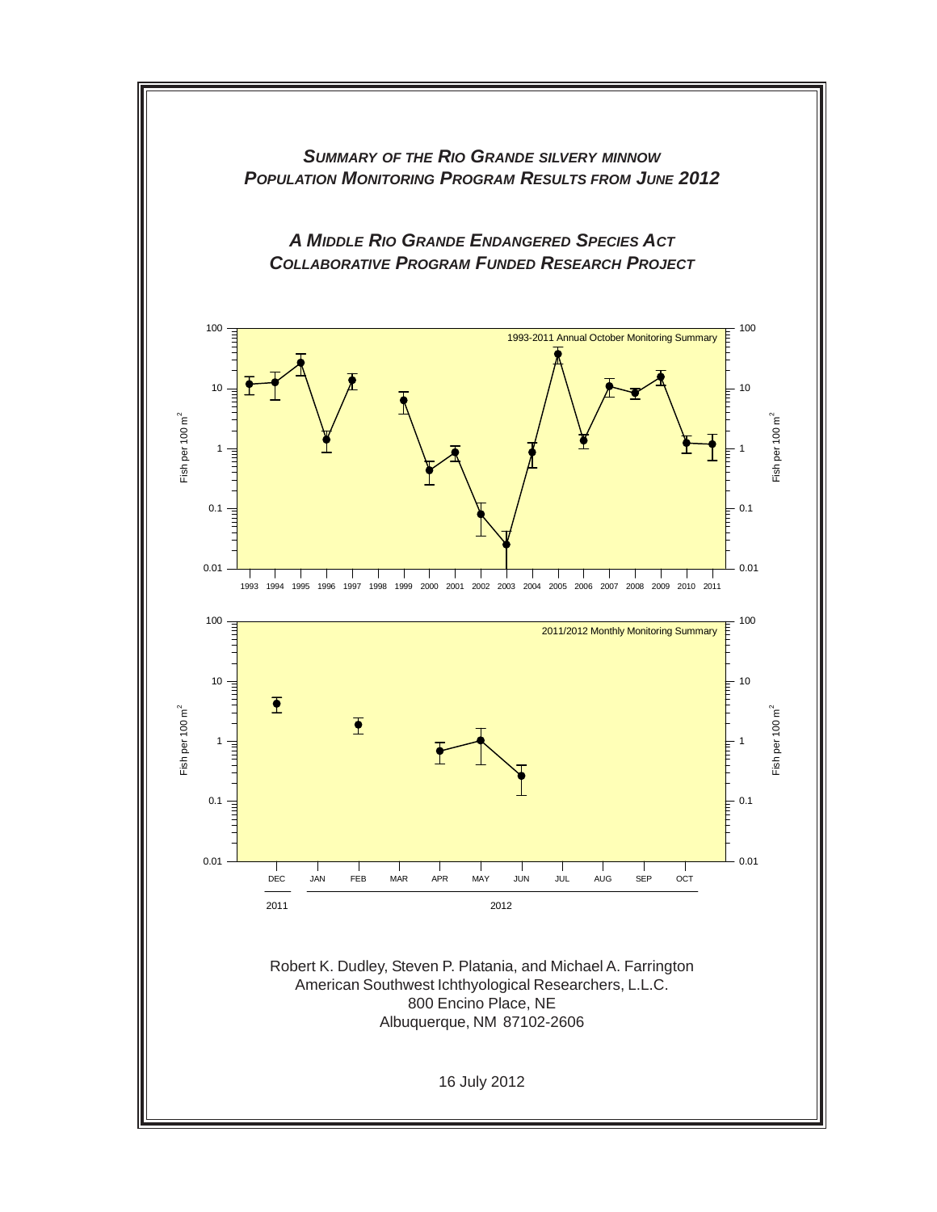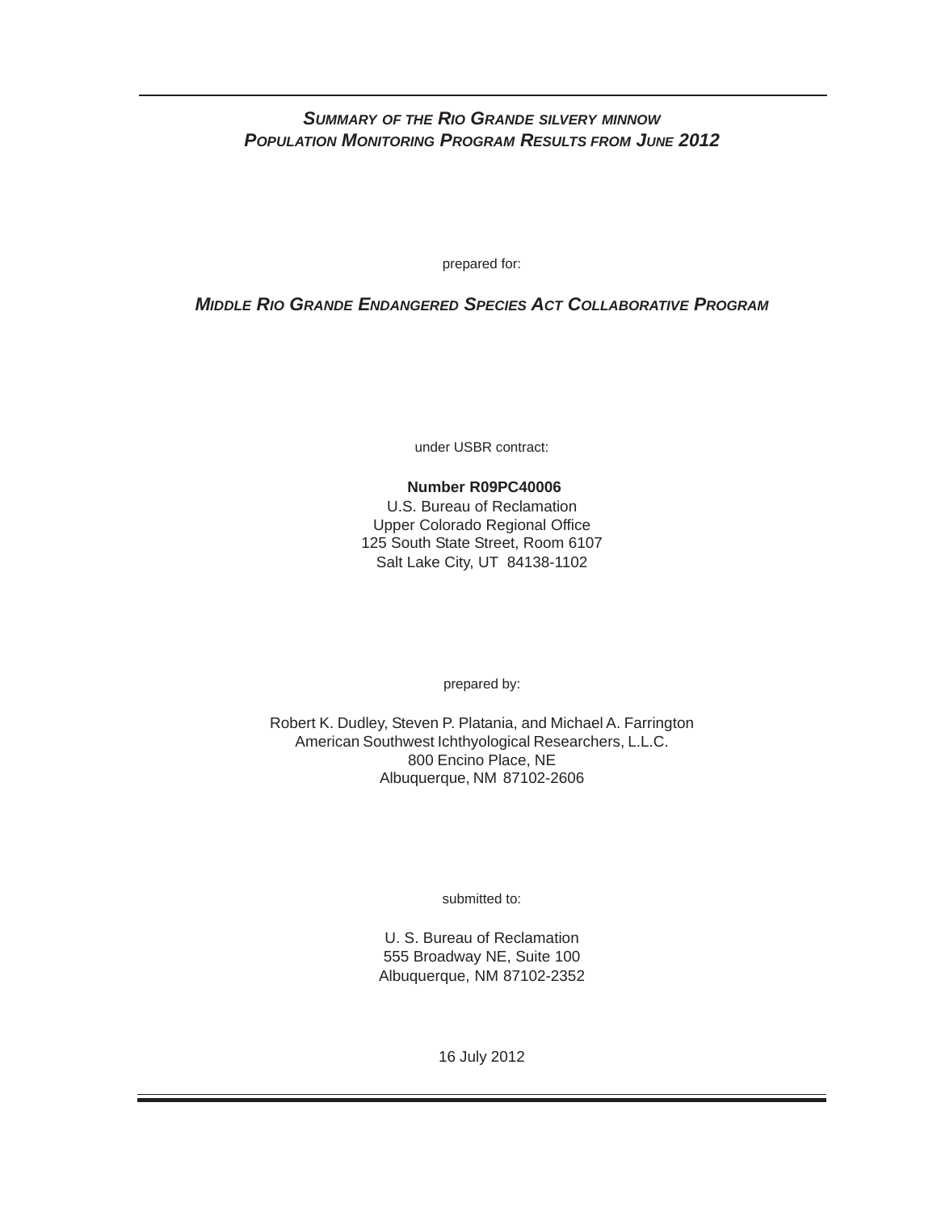# *SUMMARY OF THE RIO GRANDE SILVERY MINNOW POPULATION MONITORING PROGRAM RESULTS FROM JUNE 2012*

prepared for:

# *MIDDLE RIO GRANDE ENDANGERED SPECIES ACT COLLABORATIVE PROGRAM*

under USBR contract:

# **Number R09PC40006**

U.S. Bureau of Reclamation Upper Colorado Regional Office 125 South State Street, Room 6107 Salt Lake City, UT 84138-1102

prepared by:

Robert K. Dudley, Steven P. Platania, and Michael A. Farrington American Southwest Ichthyological Researchers, L.L.C. 800 Encino Place, NE Albuquerque, NM 87102-2606

submitted to:

U. S. Bureau of Reclamation 555 Broadway NE, Suite 100 Albuquerque, NM 87102-2352

16 July 2012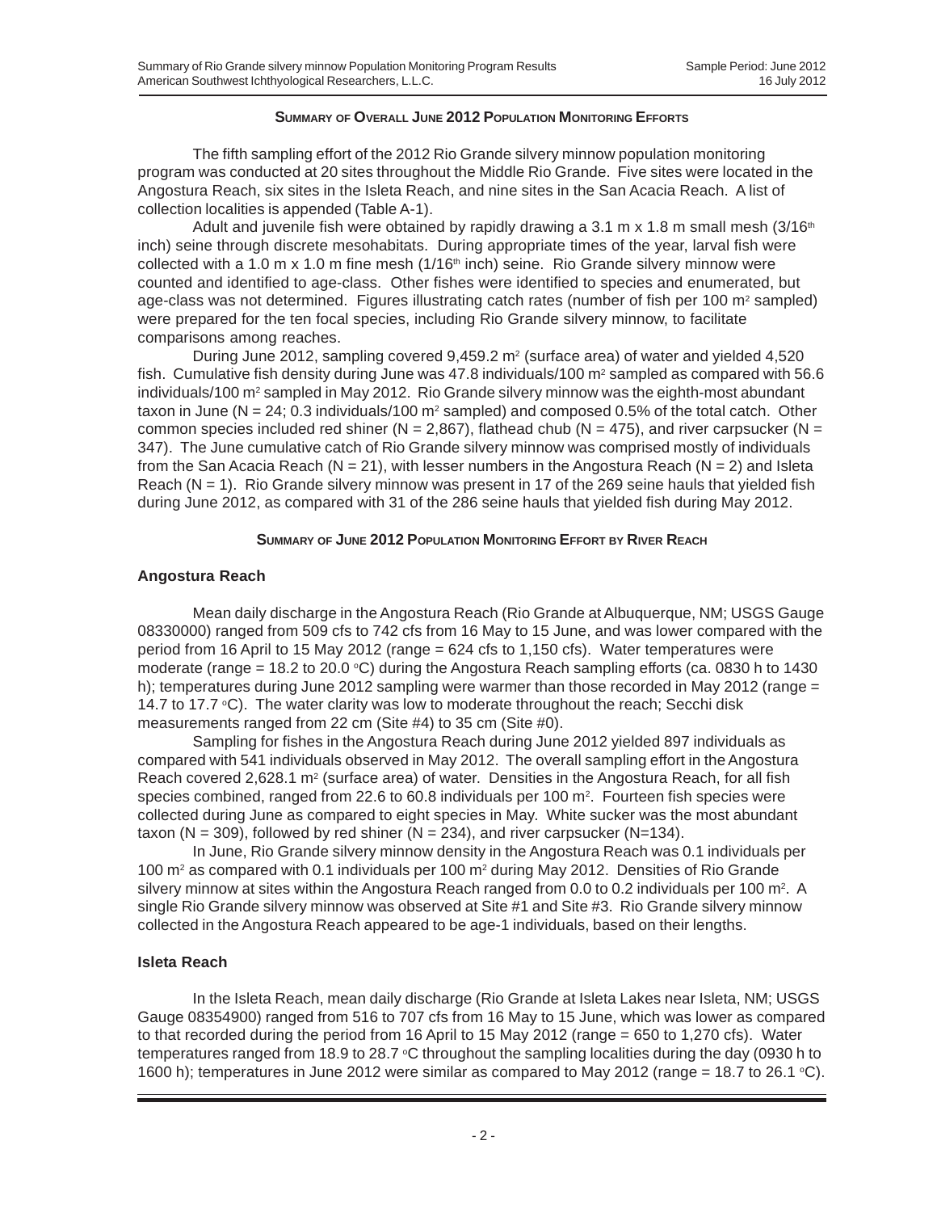#### **SUMMARY OF OVERALL JUNE 2012 POPULATION MONITORING EFFORTS**

The fifth sampling effort of the 2012 Rio Grande silvery minnow population monitoring program was conducted at 20 sites throughout the Middle Rio Grande. Five sites were located in the Angostura Reach, six sites in the Isleta Reach, and nine sites in the San Acacia Reach. A list of collection localities is appended (Table A-1).

Adult and juvenile fish were obtained by rapidly drawing a 3.1 m x 1.8 m small mesh  $(3/16<sup>th</sup>)$ inch) seine through discrete mesohabitats. During appropriate times of the year, larval fish were collected with a 1.0 m x 1.0 m fine mesh  $(1/16<sup>th</sup>$  inch) seine. Rio Grande silvery minnow were counted and identified to age-class. Other fishes were identified to species and enumerated, but age-class was not determined. Figures illustrating catch rates (number of fish per 100  $m<sup>2</sup>$  sampled) were prepared for the ten focal species, including Rio Grande silvery minnow, to facilitate comparisons among reaches.

During June 2012, sampling covered  $9,459.2$  m<sup>2</sup> (surface area) of water and yielded 4,520 fish. Cumulative fish density during June was 47.8 individuals/100  $m^2$  sampled as compared with 56.6 individuals/100 m<sup>2</sup> sampled in May 2012. Rio Grande silvery minnow was the eighth-most abundant taxon in June ( $N = 24$ ; 0.3 individuals/100 m<sup>2</sup> sampled) and composed 0.5% of the total catch. Other common species included red shiner (N = 2,867), flathead chub (N = 475), and river carpsucker (N = 347). The June cumulative catch of Rio Grande silvery minnow was comprised mostly of individuals from the San Acacia Reach ( $N = 21$ ), with lesser numbers in the Angostura Reach ( $N = 2$ ) and Isleta Reach (N = 1).Rio Grande silvery minnow was present in 17 of the 269 seine hauls that yielded fish during June 2012, as compared with 31 of the 286 seine hauls that yielded fish during May 2012.

#### **SUMMARY OF JUNE 2012 POPULATION MONITORING EFFORT BY RIVER REACH**

### **Angostura Reach**

Mean daily discharge in the Angostura Reach (Rio Grande at Albuquerque, NM; USGS Gauge 08330000) ranged from 509 cfs to 742 cfs from 16 May to 15 June, and was lower compared with the period from 16 April to 15 May 2012 (range = 624 cfs to 1,150 cfs). Water temperatures were moderate (range = 18.2 to 20.0 °C) during the Angostura Reach sampling efforts (ca. 0830 h to 1430 h); temperatures during June 2012 sampling were warmer than those recorded in May 2012 (range = 14.7 to 17.7  $\circ$ C). The water clarity was low to moderate throughout the reach; Secchi disk measurements ranged from 22 cm (Site #4) to 35 cm (Site #0).

Sampling for fishes in the Angostura Reach during June 2012 yielded 897 individuals as compared with 541 individuals observed in May 2012. The overall sampling effort in the Angostura Reach covered 2,628.1  $m<sup>2</sup>$  (surface area) of water. Densities in the Angostura Reach, for all fish species combined, ranged from 22.6 to 60.8 individuals per 100 m<sup>2</sup>. Fourteen fish species were collected during June as compared to eight species in May. White sucker was the most abundant taxon (N = 309), followed by red shiner (N = 234), and river carpsucker (N=134).

In June, Rio Grande silvery minnow density in the Angostura Reach was 0.1 individuals per 100 m<sup>2</sup> as compared with 0.1 individuals per 100 m<sup>2</sup> during May 2012. Densities of Rio Grande silvery minnow at sites within the Angostura Reach ranged from 0.0 to 0.2 individuals per 100  $\text{m}^2$ . A single Rio Grande silvery minnow was observed at Site #1 and Site #3. Rio Grande silvery minnow collected in the Angostura Reach appeared to be age-1 individuals, based on their lengths.

### **Isleta Reach**

In the Isleta Reach, mean daily discharge (Rio Grande at Isleta Lakes near Isleta, NM; USGS Gauge 08354900) ranged from 516 to 707 cfs from 16 May to 15 June, which was lower as compared to that recorded during the period from 16 April to 15 May 2012 (range = 650 to 1,270 cfs). Water temperatures ranged from 18.9 to 28.7  $\degree$ C throughout the sampling localities during the day (0930 h to 1600 h); temperatures in June 2012 were similar as compared to May 2012 (range = 18.7 to 26.1  $\degree$ C).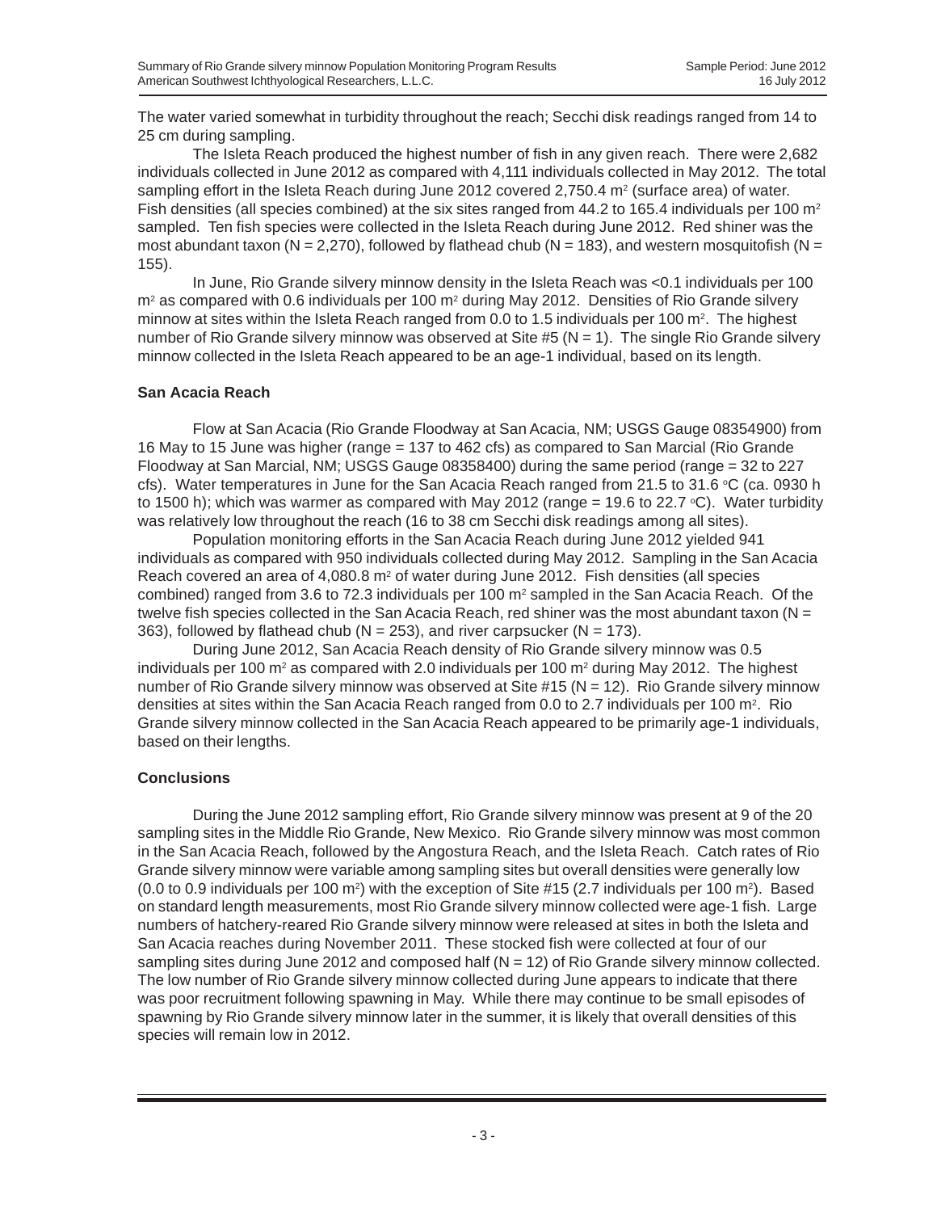The water varied somewhat in turbidity throughout the reach; Secchi disk readings ranged from 14 to 25 cm during sampling.

The Isleta Reach produced the highest number of fish in any given reach. There were 2,682 individuals collected in June 2012 as compared with 4,111 individuals collected in May 2012. The total sampling effort in the Isleta Reach during June 2012 covered 2,750.4  $m<sup>2</sup>$  (surface area) of water. Fish densities (all species combined) at the six sites ranged from 44.2 to 165.4 individuals per 100  $m<sup>2</sup>$ sampled. Ten fish species were collected in the Isleta Reach during June 2012. Red shiner was the most abundant taxon (N = 2,270), followed by flathead chub (N = 183), and western mosquitofish (N = 155).

In June, Rio Grande silvery minnow density in the Isleta Reach was <0.1 individuals per 100  $m<sup>2</sup>$  as compared with 0.6 individuals per 100  $m<sup>2</sup>$  during May 2012. Densities of Rio Grande silvery minnow at sites within the Isleta Reach ranged from 0.0 to 1.5 individuals per 100  $\mathrm{m}^2$ . The highest number of Rio Grande silvery minnow was observed at Site #5 ( $N = 1$ ). The single Rio Grande silvery minnow collected in the Isleta Reach appeared to be an age-1 individual, based on its length.

### **San Acacia Reach**

Flow at San Acacia (Rio Grande Floodway at San Acacia, NM; USGS Gauge 08354900) from 16 May to 15 June was higher (range = 137 to 462 cfs) as compared to San Marcial (Rio Grande Floodway at San Marcial, NM; USGS Gauge 08358400) during the same period (range = 32 to 227 cfs). Water temperatures in June for the San Acacia Reach ranged from 21.5 to 31.6 °C (ca. 0930 h to 1500 h); which was warmer as compared with May 2012 (range = 19.6 to 22.7 °C). Water turbidity was relatively low throughout the reach (16 to 38 cm Secchi disk readings among all sites).

Population monitoring efforts in the San Acacia Reach during June 2012 yielded 941 individuals as compared with 950 individuals collected during May 2012. Sampling in the San Acacia Reach covered an area of  $4,080.8$  m<sup>2</sup> of water during June 2012. Fish densities (all species combined) ranged from 3.6 to 72.3 individuals per 100  $m<sup>2</sup>$  sampled in the San Acacia Reach. Of the twelve fish species collected in the San Acacia Reach, red shiner was the most abundant taxon ( $N =$ 363), followed by flathead chub ( $N = 253$ ), and river carpsucker ( $N = 173$ ).

During June 2012, San Acacia Reach density of Rio Grande silvery minnow was 0.5 individuals per 100 m<sup>2</sup> as compared with 2.0 individuals per 100 m<sup>2</sup> during May 2012. The highest number of Rio Grande silvery minnow was observed at Site  $#15$  (N = 12). Rio Grande silvery minnow densities at sites within the San Acacia Reach ranged from 0.0 to 2.7 individuals per 100 m<sup>2</sup>. Rio Grande silvery minnow collected in the San Acacia Reach appeared to be primarily age-1 individuals, based on their lengths.

### **Conclusions**

During the June 2012 sampling effort, Rio Grande silvery minnow was present at 9 of the 20 sampling sites in the Middle Rio Grande, New Mexico. Rio Grande silvery minnow was most common in the San Acacia Reach, followed by the Angostura Reach, and the Isleta Reach. Catch rates of Rio Grande silvery minnow were variable among sampling sites but overall densities were generally low (0.0 to 0.9 individuals per 100 m<sup>2</sup>) with the exception of Site #15 (2.7 individuals per 100 m<sup>2</sup>). Based on standard length measurements, most Rio Grande silvery minnow collected were age-1 fish. Large numbers of hatchery-reared Rio Grande silvery minnow were released at sites in both the Isleta and San Acacia reaches during November 2011. These stocked fish were collected at four of our sampling sites during June 2012 and composed half  $(N = 12)$  of Rio Grande silvery minnow collected. The low number of Rio Grande silvery minnow collected during June appears to indicate that there was poor recruitment following spawning in May. While there may continue to be small episodes of spawning by Rio Grande silvery minnow later in the summer, it is likely that overall densities of this species will remain low in 2012.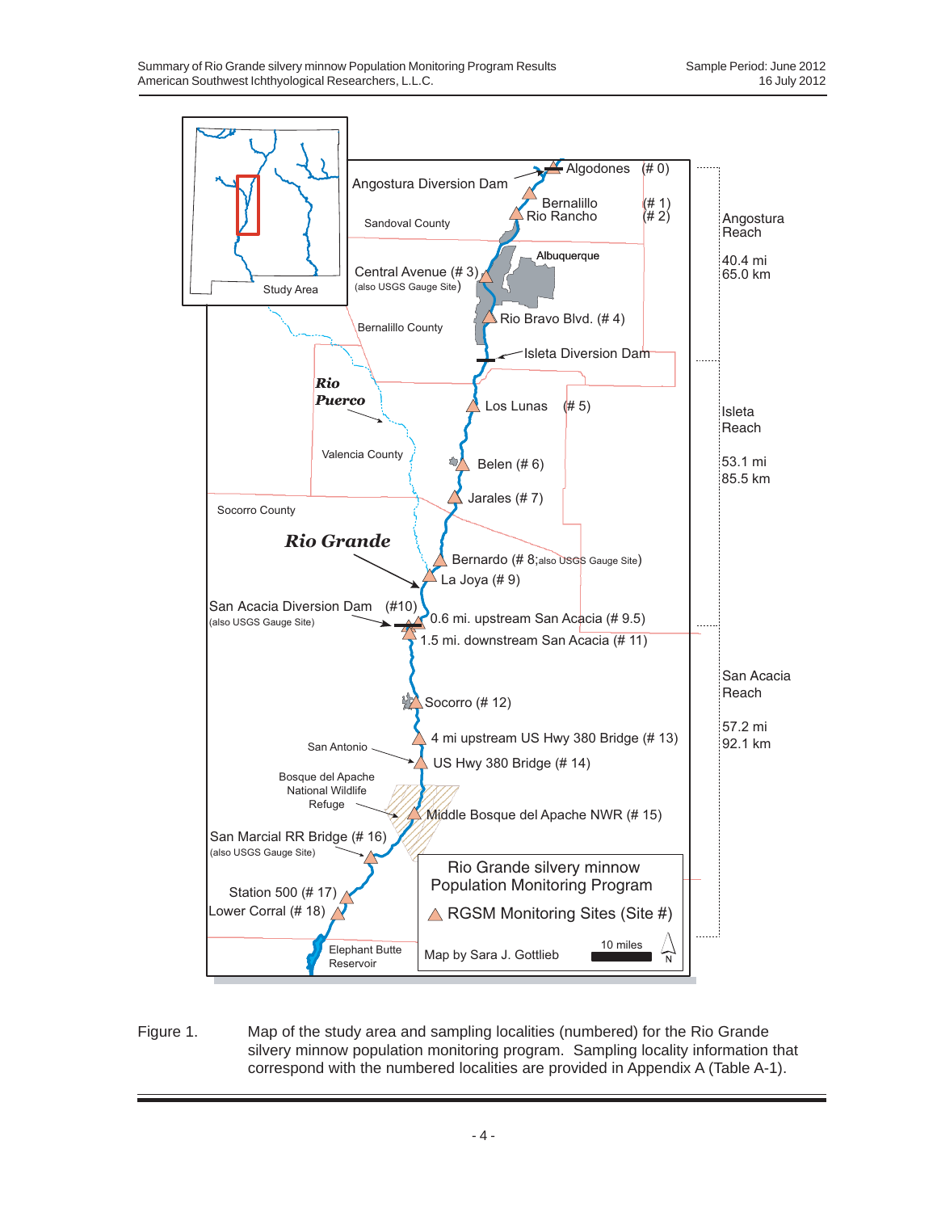

Figure 1. Map of the study area and sampling localities (numbered) for the Rio Grande silvery minnow population monitoring program. Sampling locality information that correspond with the numbered localities are provided in Appendix A (Table A-1).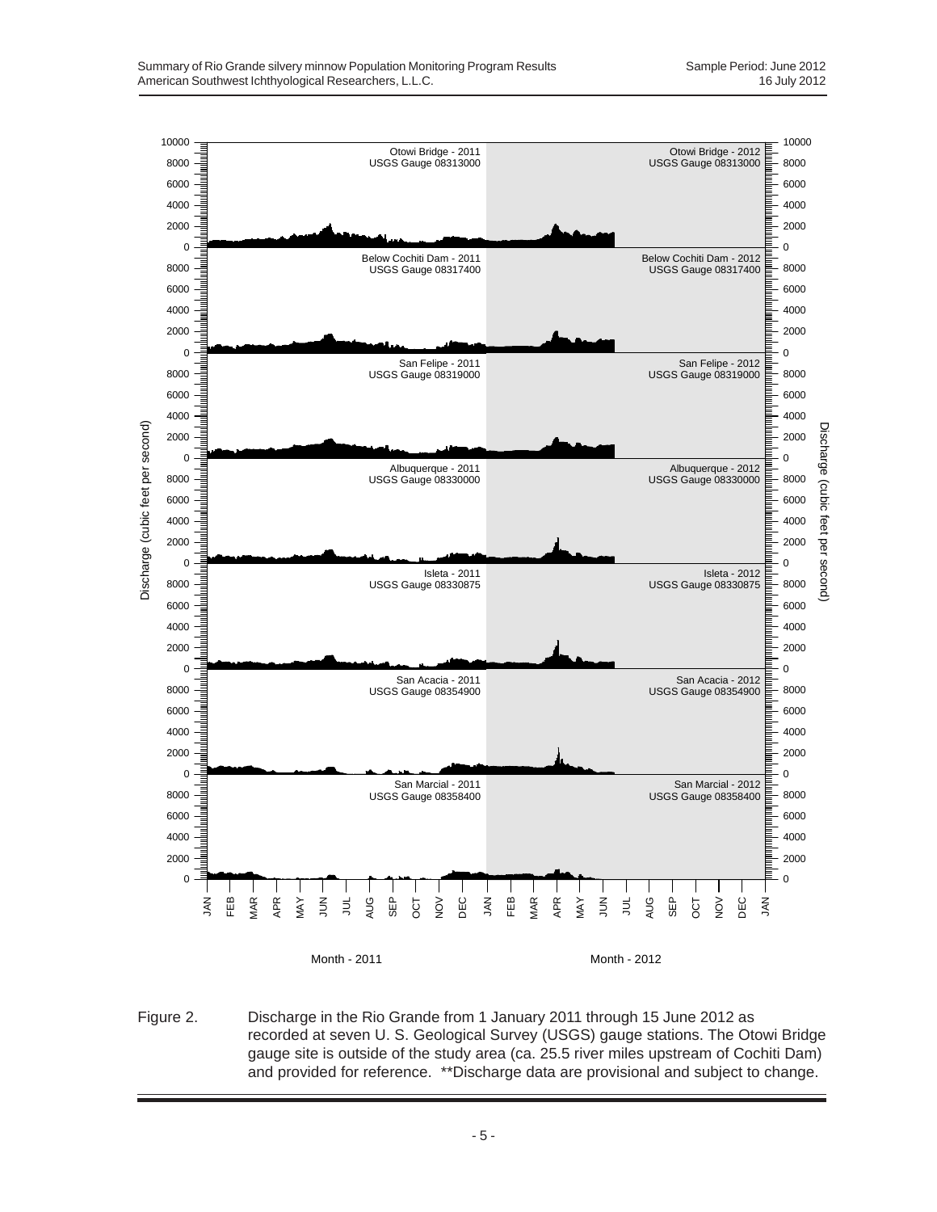

Figure 2. Discharge in the Rio Grande from 1 January 2011 through 15 June 2012 as recorded at seven U. S. Geological Survey (USGS) gauge stations. The Otowi Bridge gauge site is outside of the study area (ca. 25.5 river miles upstream of Cochiti Dam) and provided for reference. \*\*Discharge data are provisional and subject to change.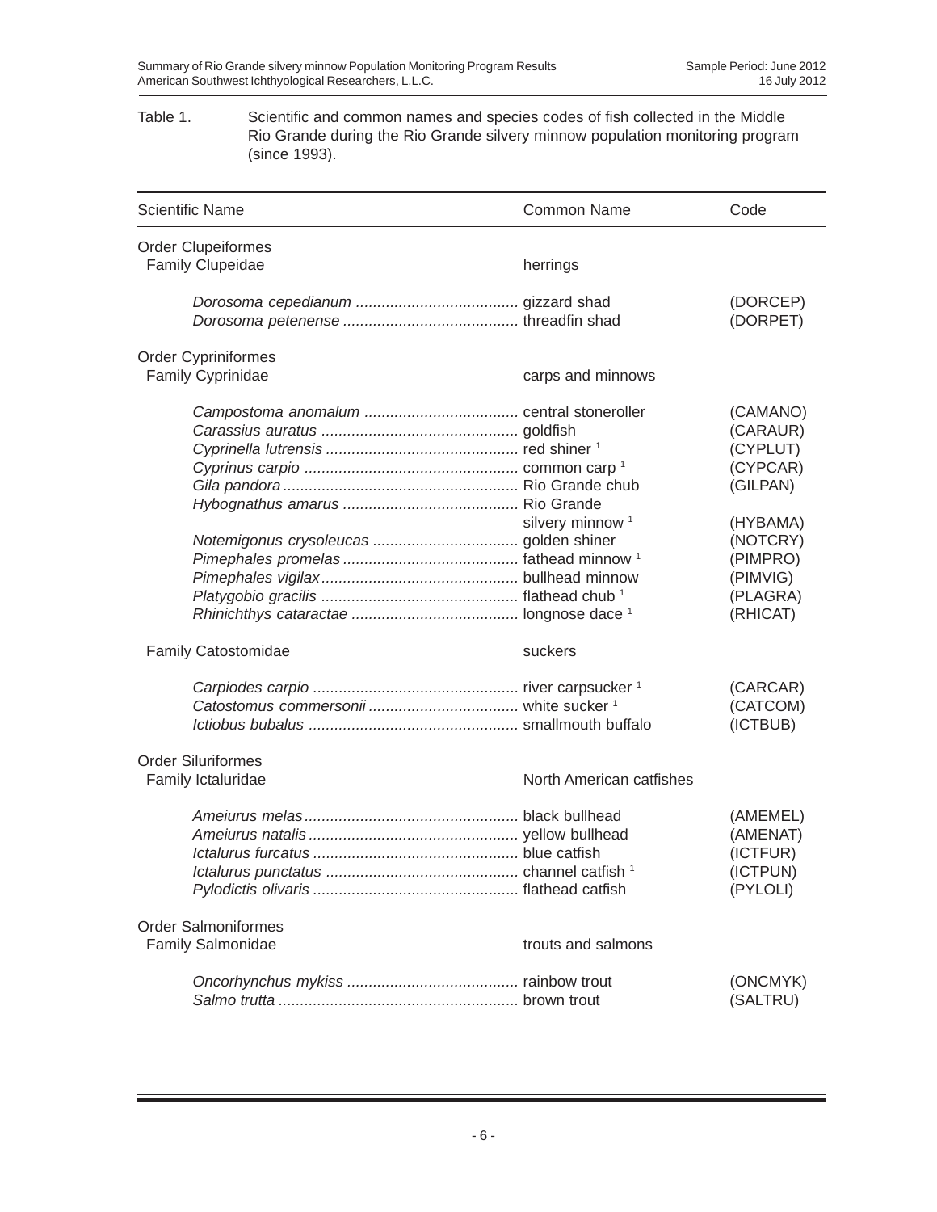#### Table 1. Scientific and common names and species codes of fish collected in the Middle Rio Grande during the Rio Grande silvery minnow population monitoring program (since 1993).

| <b>Scientific Name</b>                                 | <b>Common Name</b>          | Code                                                                                                                             |
|--------------------------------------------------------|-----------------------------|----------------------------------------------------------------------------------------------------------------------------------|
| <b>Order Clupeiformes</b>                              |                             |                                                                                                                                  |
| <b>Family Clupeidae</b>                                | herrings                    |                                                                                                                                  |
|                                                        |                             | (DORCEP)<br>(DORPET)                                                                                                             |
| <b>Order Cypriniformes</b>                             |                             |                                                                                                                                  |
| Family Cyprinidae                                      | carps and minnows           |                                                                                                                                  |
|                                                        | silvery minnow <sup>1</sup> | (CAMANO)<br>(CARAUR)<br>(CYPLUT)<br>(CYPCAR)<br>(GILPAN)<br>(HYBAMA)<br>(NOTCRY)<br>(PIMPRO)<br>(PIMVIG)<br>(PLAGRA)<br>(RHICAT) |
| Family Catostomidae                                    | suckers                     |                                                                                                                                  |
|                                                        |                             | (CARCAR)<br>(CATCOM)<br>(ICTBUB)                                                                                                 |
| <b>Order Siluriformes</b><br>Family Ictaluridae        | North American catfishes    |                                                                                                                                  |
|                                                        |                             | (AMEMEL)<br>(AMENAT)<br>(ICTFUR)<br>(ICTPUN)<br>(PYLOLI)                                                                         |
| <b>Order Salmoniformes</b><br><b>Family Salmonidae</b> | trouts and salmons          |                                                                                                                                  |
|                                                        |                             | (ONCMYK)<br>(SALTRU)                                                                                                             |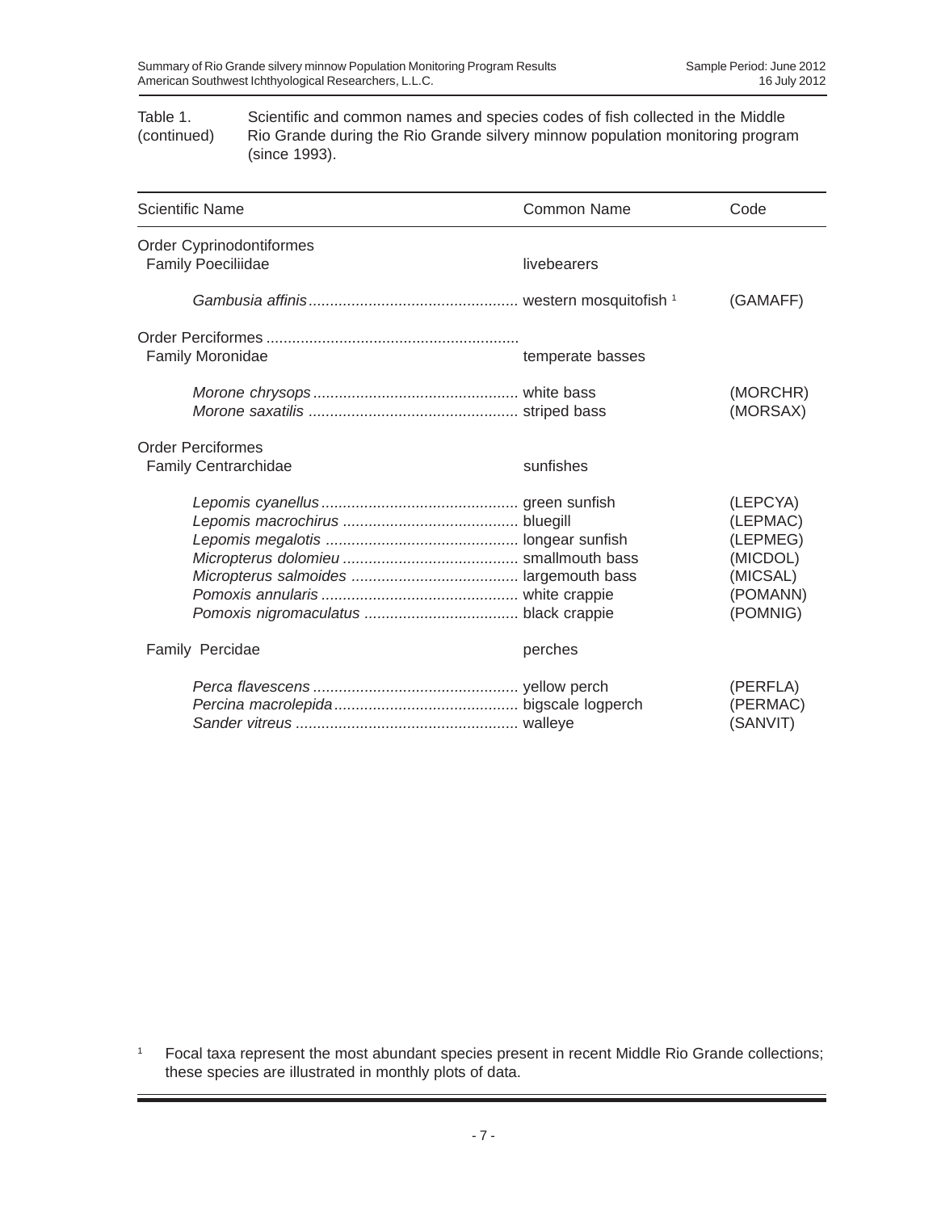Table 1. Scientific and common names and species codes of fish collected in the Middle (continued) Rio Grande during the Rio Grande silvery minnow population monitoring program (since 1993).

| <b>Scientific Name</b>                                | <b>Common Name</b> | Code                                                                             |
|-------------------------------------------------------|--------------------|----------------------------------------------------------------------------------|
| Order Cyprinodontiformes<br><b>Family Poeciliidae</b> | livebearers        |                                                                                  |
|                                                       |                    | (GAMAFF)                                                                         |
| Family Moronidae                                      | temperate basses   |                                                                                  |
|                                                       |                    | (MORCHR)<br>(MORSAX)                                                             |
| <b>Order Perciformes</b><br>Family Centrarchidae      | sunfishes          |                                                                                  |
|                                                       |                    | (LEPCYA)<br>(LEPMAC)<br>(LEPMEG)<br>(MICDOL)<br>(MICSAL)<br>(POMANN)<br>(POMNIG) |
| Family Percidae                                       | perches            |                                                                                  |
|                                                       |                    | (PERFLA)<br>(PERMAC)<br>(SANVIT)                                                 |

<sup>1</sup> Focal taxa represent the most abundant species present in recent Middle Rio Grande collections; these species are illustrated in monthly plots of data.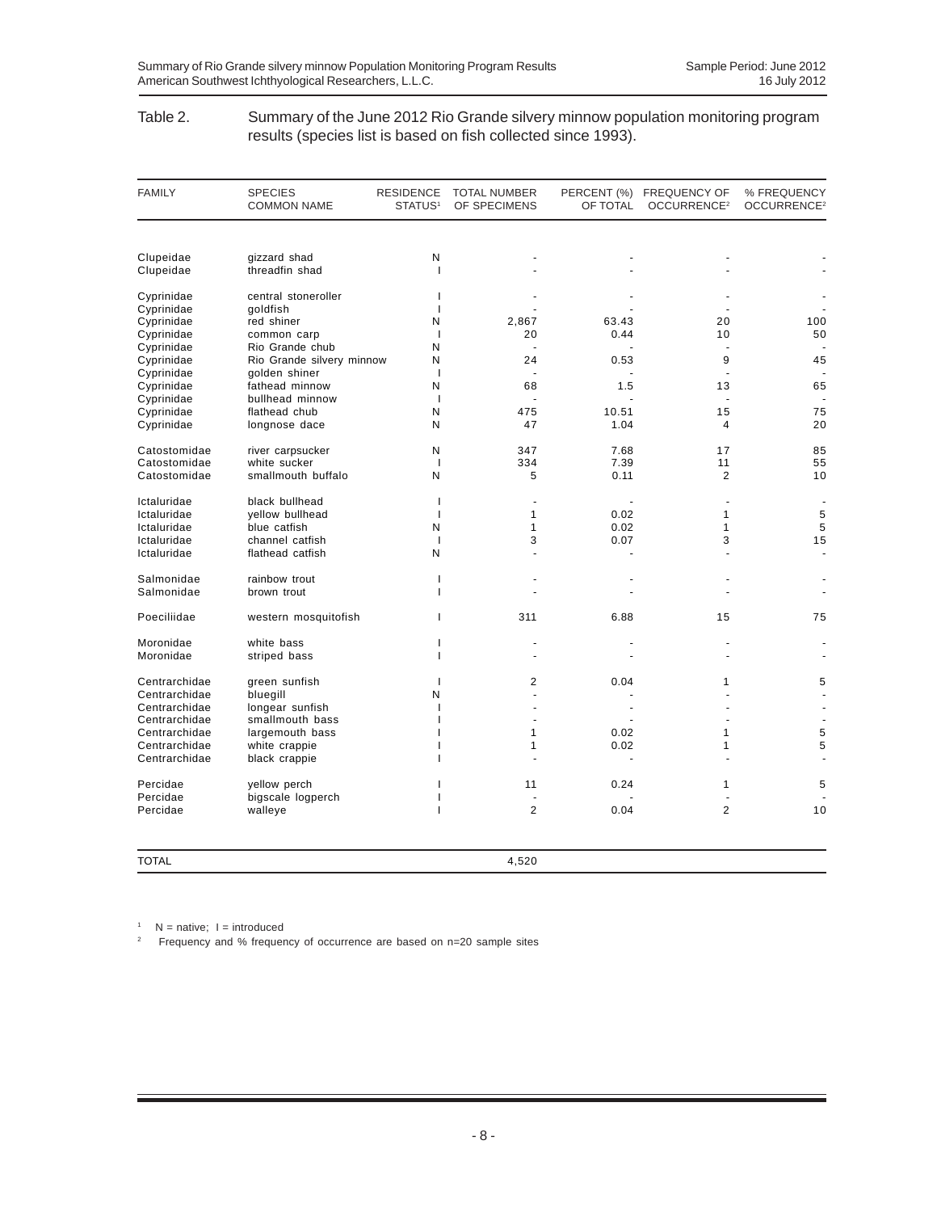#### Table 2. Summary of the June 2012 Rio Grande silvery minnow population monitoring program results (species list is based on fish collected since 1993).

| <b>FAMILY</b> | <b>SPECIES</b><br><b>COMMON NAME</b> | <b>RESIDENCE</b><br>STATUS <sup>1</sup> | <b>TOTAL NUMBER</b><br>OF SPECIMENS | OF TOTAL       | PERCENT (%) FREQUENCY OF<br>OCCURRENCE <sup>2</sup> | % FREQUENCY<br>OCCURRENCE <sup>2</sup> |
|---------------|--------------------------------------|-----------------------------------------|-------------------------------------|----------------|-----------------------------------------------------|----------------------------------------|
|               |                                      |                                         |                                     |                |                                                     |                                        |
| Clupeidae     | gizzard shad                         | N                                       |                                     |                |                                                     |                                        |
| Clupeidae     | threadfin shad                       | $\mathbf{I}$                            |                                     |                |                                                     |                                        |
| Cyprinidae    | central stoneroller                  | $\mathbf{I}$                            |                                     |                |                                                     |                                        |
| Cyprinidae    | goldfish                             | $\mathbf{I}$                            |                                     |                |                                                     |                                        |
| Cyprinidae    | red shiner                           | N                                       | 2,867                               | 63.43          | 20                                                  | 100                                    |
| Cyprinidae    | common carp                          | $\overline{1}$                          | 20                                  | 0.44           | 10                                                  | 50                                     |
| Cyprinidae    | Rio Grande chub                      | N                                       | ä,                                  |                | $\overline{a}$                                      |                                        |
| Cyprinidae    | Rio Grande silvery minnow            | N                                       | 24                                  | 0.53           | 9                                                   | 45                                     |
| Cyprinidae    | golden shiner                        | $\mathbf{I}$                            | ä,                                  |                |                                                     |                                        |
| Cyprinidae    | fathead minnow                       | N                                       | 68                                  | 1.5            | 13                                                  | 65                                     |
| Cyprinidae    | bullhead minnow                      | $\overline{\phantom{a}}$<br>N           | 475                                 | 10.51          | 15                                                  | 75                                     |
| Cyprinidae    | flathead chub                        |                                         |                                     |                |                                                     |                                        |
| Cyprinidae    | longnose dace                        | N                                       | 47                                  | 1.04           | 4                                                   | 20                                     |
| Catostomidae  | river carpsucker                     | N                                       | 347                                 | 7.68           | 17                                                  | 85                                     |
| Catostomidae  | white sucker                         | $\mathbf{I}$                            | 334                                 | 7.39           | 11                                                  | 55                                     |
| Catostomidae  | smallmouth buffalo                   | N                                       | 5                                   | 0.11           | 2                                                   | 10                                     |
| Ictaluridae   | black bullhead                       | $\mathbf{I}$                            | ÷,                                  |                |                                                     | $\overline{\phantom{a}}$               |
| Ictaluridae   | yellow bullhead                      | $\mathbf{I}$                            | $\mathbf{1}$                        | 0.02           | $\mathbf{1}$                                        | 5                                      |
| Ictaluridae   | blue catfish                         | N                                       | $\mathbf{1}$                        | 0.02           | $\mathbf{1}$                                        | 5                                      |
| Ictaluridae   | channel catfish                      | $\overline{1}$                          | 3                                   | 0.07           | 3                                                   | 15                                     |
| Ictaluridae   | flathead catfish                     | N                                       |                                     |                |                                                     | $\blacksquare$                         |
| Salmonidae    | rainbow trout                        | $\mathbf{I}$                            |                                     |                |                                                     |                                        |
| Salmonidae    | brown trout                          | ı                                       |                                     |                |                                                     |                                        |
| Poeciliidae   | western mosquitofish                 | ı                                       | 311                                 | 6.88           | 15                                                  | 75                                     |
| Moronidae     | white bass                           | T                                       |                                     |                |                                                     |                                        |
| Moronidae     | striped bass                         | L                                       | ÷.                                  |                | $\overline{a}$                                      |                                        |
| Centrarchidae | green sunfish                        | $\mathbf{I}$                            | $\overline{2}$                      | 0.04           | 1                                                   | 5                                      |
| Centrarchidae | bluegill                             | N                                       |                                     |                |                                                     |                                        |
| Centrarchidae | longear sunfish                      | $\mathbf{I}$                            | ÷.                                  | $\overline{a}$ |                                                     |                                        |
| Centrarchidae | smallmouth bass                      | 1                                       | ä,                                  |                |                                                     |                                        |
| Centrarchidae | largemouth bass                      |                                         | $\mathbf{1}$                        | 0.02           | 1                                                   | 5                                      |
| Centrarchidae | white crappie                        |                                         | 1                                   | 0.02           | 1                                                   | 5                                      |
| Centrarchidae | black crappie                        | ı                                       | L.                                  | ÷.             |                                                     |                                        |
| Percidae      | yellow perch                         | ı                                       | 11                                  | 0.24           | $\mathbf{1}$                                        | 5                                      |
| Percidae      | bigscale logperch                    |                                         |                                     |                |                                                     |                                        |
| Percidae      | walleye                              | ı                                       | $\overline{2}$                      | 0.04           | $\overline{2}$                                      | 10                                     |
| <b>TOTAL</b>  |                                      |                                         | 4,520                               |                |                                                     |                                        |

 $1$  N = native;  $1 =$  introduced

2 Frequency and % frequency of occurrence are based on n=20 sample sites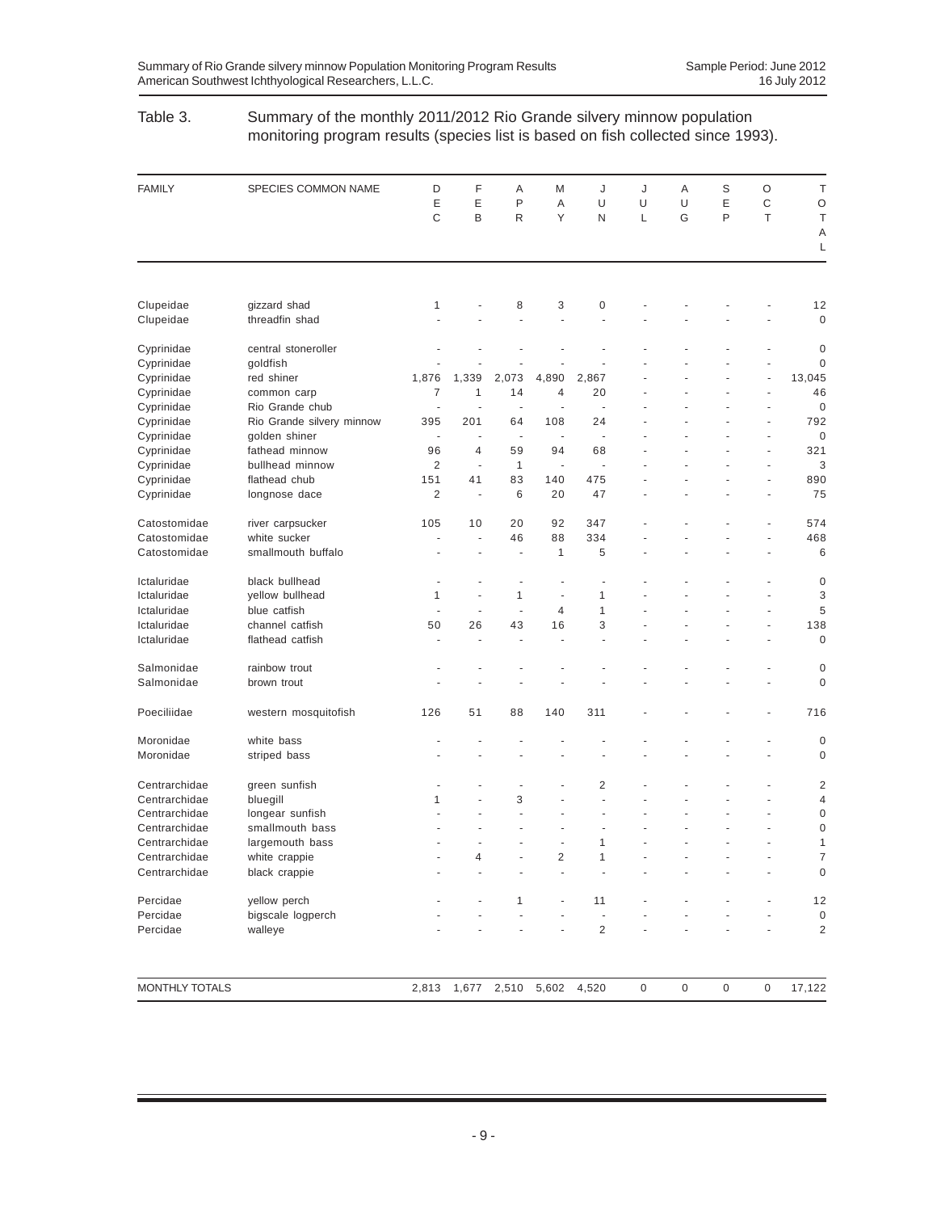### Table 3. Summary of the monthly 2011/2012 Rio Grande silvery minnow population monitoring program results (species list is based on fish collected since 1993).

| <b>FAMILY</b>  | SPECIES COMMON NAME       | D              | F                        | Α                        | M                        | J              | J            | Α       | S            | O                        | Τ                       |
|----------------|---------------------------|----------------|--------------------------|--------------------------|--------------------------|----------------|--------------|---------|--------------|--------------------------|-------------------------|
|                |                           | Ε              | E                        | P                        | Α                        | U              | U            | U       | Ε            | C                        | $\circ$                 |
|                |                           | C              | B                        | R                        | Υ                        | N              | L            | G       | P            | T                        | $\top$<br>Α             |
|                |                           |                |                          |                          |                          |                |              |         |              |                          | L                       |
|                |                           |                |                          |                          |                          |                |              |         |              |                          |                         |
| Clupeidae      | gizzard shad              | 1              |                          | 8                        | 3                        | 0              |              |         |              |                          | 12                      |
| Clupeidae      | threadfin shad            |                |                          | ä,                       | $\overline{a}$           |                |              |         |              |                          | $\mathbf 0$             |
| Cyprinidae     | central stoneroller       |                |                          |                          |                          |                |              |         |              |                          | $\boldsymbol{0}$        |
| Cyprinidae     | goldfish                  |                |                          |                          |                          |                |              |         |              |                          | $\mathbf 0$             |
| Cyprinidae     | red shiner                | 1,876          | 1,339                    | 2,073                    | 4,890                    | 2,867          |              |         |              |                          | 13,045                  |
| Cyprinidae     | common carp               | 7              | 1                        | 14                       | 4                        | 20             |              |         |              |                          | 46                      |
| Cyprinidae     | Rio Grande chub           | ä,             |                          | ÷,                       |                          | ä,             |              |         |              | $\overline{\phantom{a}}$ | $\mathbf 0$             |
| Cyprinidae     | Rio Grande silvery minnow | 395            | 201                      | 64                       | 108                      | 24             |              |         |              |                          | 792                     |
| Cyprinidae     | golden shiner             | ÷,             | $\sim$                   | ÷,                       | $\overline{\phantom{a}}$ | ÷,             |              |         |              | ÷,                       | $\mathbf 0$             |
| Cyprinidae     | fathead minnow            | 96             | $\overline{4}$           | 59                       | 94                       | 68             |              |         |              |                          | 321                     |
| Cyprinidae     | bullhead minnow           | $\overline{c}$ | $\overline{\phantom{a}}$ | $\mathbf{1}$             | ÷,                       | ä,             |              |         |              |                          | 3                       |
| Cyprinidae     | flathead chub             | 151            | 41                       | 83                       | 140                      | 475            |              |         |              | ä,                       | 890                     |
| Cyprinidae     | longnose dace             | 2              | ÷                        | 6                        | 20                       | 47             |              |         |              | ä,                       | 75                      |
| Catostomidae   | river carpsucker          | 105            | 10                       | 20                       | 92                       | 347            |              |         |              |                          | 574                     |
| Catostomidae   | white sucker              | ÷              | ÷,                       | 46                       | 88                       | 334            |              |         |              |                          | 468                     |
| Catostomidae   | smallmouth buffalo        |                |                          | ä,                       | 1                        | 5              |              |         |              |                          | 6                       |
| Ictaluridae    | black bullhead            |                |                          |                          |                          |                |              |         |              |                          | 0                       |
| Ictaluridae    | yellow bullhead           | 1              |                          | 1                        | ÷,                       | 1              |              |         |              |                          | 3                       |
| Ictaluridae    | blue catfish              | ٠              | ÷,                       | ÷,                       | 4                        | 1              |              |         |              |                          | 5                       |
| Ictaluridae    | channel catfish           | 50             | 26                       | 43                       | 16                       | 3              |              |         |              |                          | 138                     |
| Ictaluridae    | flathead catfish          | ä,             |                          |                          |                          |                |              |         |              |                          | $\mathbf 0$             |
| Salmonidae     | rainbow trout             |                |                          |                          |                          |                |              |         |              |                          | $\mathbf 0$             |
| Salmonidae     | brown trout               |                |                          |                          |                          |                |              |         |              |                          | $\mathbf 0$             |
| Poeciliidae    | western mosquitofish      | 126            | 51                       | 88                       | 140                      | 311            |              |         |              |                          | 716                     |
| Moronidae      | white bass                |                |                          |                          |                          |                |              |         |              |                          | $\boldsymbol{0}$        |
| Moronidae      | striped bass              |                |                          |                          |                          |                |              |         |              |                          | $\mathbf 0$             |
| Centrarchidae  | green sunfish             |                |                          | $\overline{\phantom{a}}$ |                          | $\overline{2}$ |              |         |              |                          | $\overline{2}$          |
| Centrarchidae  | bluegill                  | 1              |                          | 3                        |                          |                |              |         |              |                          | $\overline{4}$          |
| Centrarchidae  | longear sunfish           |                |                          |                          |                          |                |              |         |              |                          | $\mathbf 0$             |
| Centrarchidae  | smallmouth bass           |                |                          |                          |                          |                |              |         |              |                          | $\mathbf 0$             |
| Centrarchidae  | largemouth bass           |                |                          |                          |                          | 1              |              |         |              |                          | 1                       |
| Centrarchidae  | white crappie             |                | 4                        |                          | 2                        | 1              |              |         |              |                          | $\overline{7}$          |
| Centrarchidae  | black crappie             |                |                          |                          |                          |                |              |         |              |                          | $\boldsymbol{0}$        |
| Percidae       | yellow perch              |                |                          | 1                        |                          | 11             |              |         |              |                          | 12                      |
| Percidae       | bigscale logperch         |                |                          |                          |                          |                |              |         |              |                          | $\pmb{0}$               |
| Percidae       | walleye                   |                |                          |                          |                          | $\overline{c}$ |              |         |              |                          | $\overline{\mathbf{c}}$ |
|                |                           |                |                          |                          |                          |                |              |         |              |                          |                         |
| MONTHLY TOTALS |                           | 2,813          | 1,677                    | 2,510                    | 5,602                    | 4,520          | $\mathsf{0}$ | $\,0\,$ | $\mathsf{0}$ | $\boldsymbol{0}$         | 17,122                  |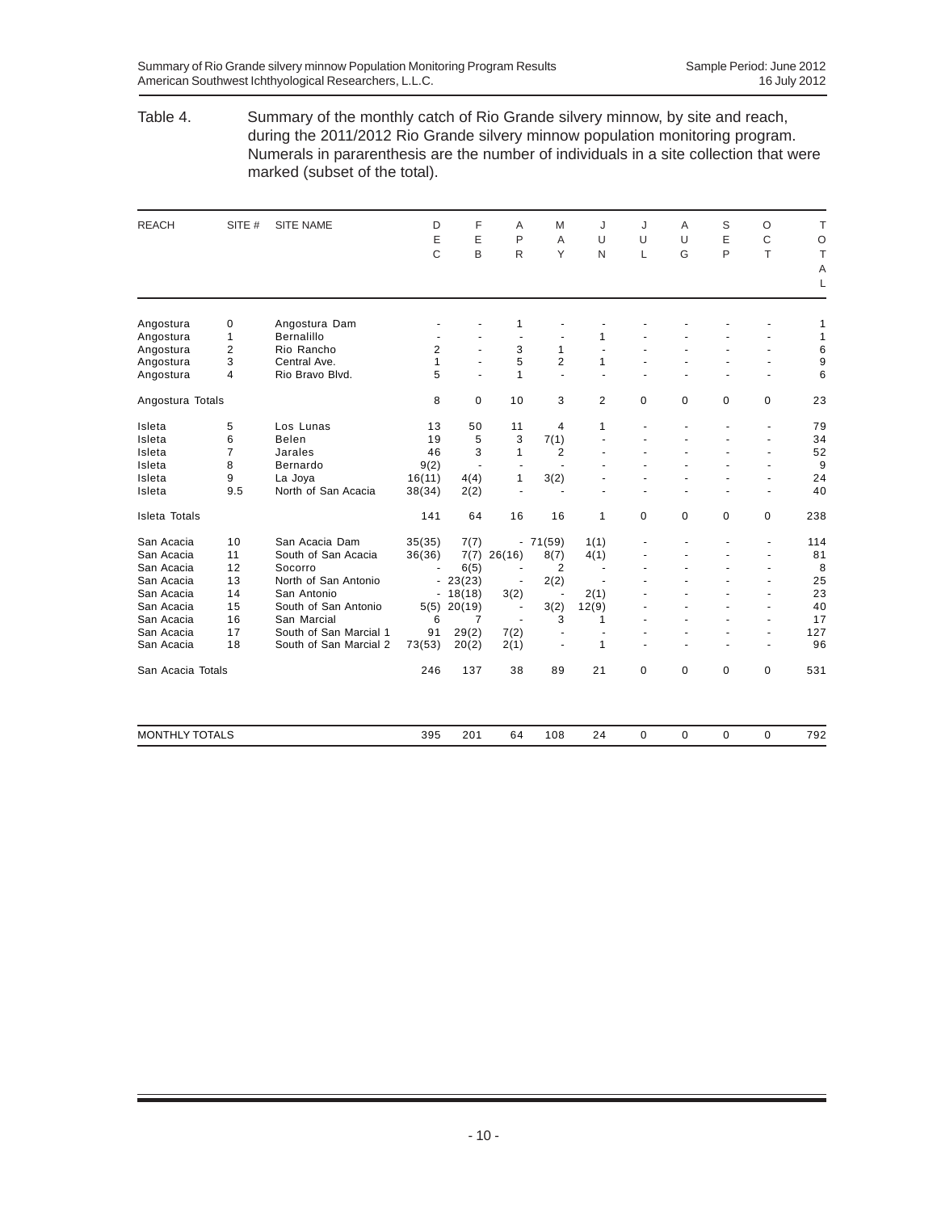#### Table 4. Summary of the monthly catch of Rio Grande silvery minnow, by site and reach, during the 2011/2012 Rio Grande silvery minnow population monitoring program. Numerals in pararenthesis are the number of individuals in a site collection that were marked (subset of the total).

| <b>REACH</b>          | SITE #         | <b>SITE NAME</b>       | D                        | F         | A                        | M              | J                        | J        | A           | S           | O                        | T       |
|-----------------------|----------------|------------------------|--------------------------|-----------|--------------------------|----------------|--------------------------|----------|-------------|-------------|--------------------------|---------|
|                       |                |                        | E                        | E         | P                        | A              | U                        | U        | U           | E           | C                        | $\circ$ |
|                       |                |                        | C                        | B         | R                        | Y              | N                        | L        | G           | P           | T                        | T       |
|                       |                |                        |                          |           |                          |                |                          |          |             |             |                          | Α       |
|                       |                |                        |                          |           |                          |                |                          |          |             |             |                          | L       |
| Angostura             | 0              | Angostura Dam          |                          |           | 1                        |                |                          |          |             |             |                          | 1       |
| Angostura             | $\mathbf{1}$   | <b>Bernalillo</b>      | $\overline{\phantom{a}}$ |           | ÷,                       | $\blacksquare$ | 1                        |          |             |             |                          | 1       |
| Angostura             | $\overline{2}$ | Rio Rancho             | $\overline{2}$           |           | 3                        | $\mathbf{1}$   | ä,                       |          |             |             |                          | 6       |
| Angostura             | 3              | Central Ave.           | $\mathbf{1}$             |           | 5                        | $\overline{2}$ | 1                        |          |             |             |                          | 9       |
| Angostura             | $\overline{4}$ | Rio Bravo Blvd.        | 5                        | ÷.        | $\mathbf{1}$             | $\blacksquare$ | ÷.                       |          |             |             | $\blacksquare$           | 6       |
| Angostura Totals      |                |                        | 8                        | 0         | 10                       | 3              | 2                        | 0        | 0           | 0           | 0                        | 23      |
| Isleta                | 5              | Los Lunas              | 13                       | 50        | 11                       | 4              | 1                        |          |             |             | ÷,                       | 79      |
| Isleta                | 6              | <b>Belen</b>           | 19                       | 5         | 3                        | 7(1)           | ä,                       | L.       |             |             | $\blacksquare$           | 34      |
| Isleta                | $\overline{7}$ | Jarales                | 46                       | 3         | $\mathbf{1}$             | 2              | ÷,                       |          |             |             | $\blacksquare$           | 52      |
| Isleta                | 8              | Bernardo               | 9(2)                     | ÷,        |                          |                |                          |          |             |             |                          | 9       |
| Isleta                | 9              | La Joya                | 16(11)                   | 4(4)      | $\mathbf{1}$             | 3(2)           |                          |          |             |             |                          | 24      |
| Isleta                | 9.5            | North of San Acacia    | 38(34)                   | 2(2)      | ÷.                       | ÷.             | $\blacksquare$           |          |             |             | ÷.                       | 40      |
| <b>Isleta Totals</b>  |                |                        | 141                      | 64        | 16                       | 16             | 1                        | 0        | $\mathbf 0$ | 0           | 0                        | 238     |
| San Acacia            | 10             | San Acacia Dam         | 35(35)                   | 7(7)      |                          | $-71(59)$      | 1(1)                     |          |             |             | ä,                       | 114     |
| San Acacia            | 11             | South of San Acacia    | 36(36)                   | 7(7)      | 26(16)                   | 8(7)           | 4(1)                     |          |             |             | $\overline{\phantom{a}}$ | 81      |
| San Acacia            | 12             | Socorro                |                          | 6(5)      |                          | 2              | $\blacksquare$           |          |             |             |                          | 8       |
| San Acacia            | 13             | North of San Antonio   |                          | $-23(23)$ | $\overline{a}$           | 2(2)           |                          |          |             |             |                          | 25      |
| San Acacia            | 14             | San Antonio            |                          | $-18(18)$ | 3(2)                     | $\blacksquare$ | 2(1)                     |          |             |             | ٠                        | 23      |
| San Acacia            | 15             | South of San Antonio   | 5(5)                     | 20(19)    | $\overline{\phantom{a}}$ | 3(2)           | 12(9)                    |          |             |             | $\blacksquare$           | 40      |
| San Acacia            | 16             | San Marcial            | 6                        | 7         | $\overline{\phantom{a}}$ | 3              | 1                        |          |             |             | $\overline{\phantom{a}}$ | 17      |
| San Acacia            | 17             | South of San Marcial 1 | 91                       | 29(2)     | 7(2)                     | ٠              | $\overline{\phantom{a}}$ | ٠        |             |             | $\blacksquare$           | 127     |
| San Acacia            | 18             | South of San Marcial 2 | 73(53)                   | 20(2)     | 2(1)                     | $\blacksquare$ | 1                        | ä,       |             |             | $\blacksquare$           | 96      |
| San Acacia Totals     |                |                        | 246                      | 137       | 38                       | 89             | 21                       | $\Omega$ | $\Omega$    | $\Omega$    | 0                        | 531     |
| <b>MONTHLY TOTALS</b> |                |                        | 395                      | 201       | 64                       | 108            | 24                       | 0        | $\mathbf 0$ | $\mathbf 0$ | 0                        | 792     |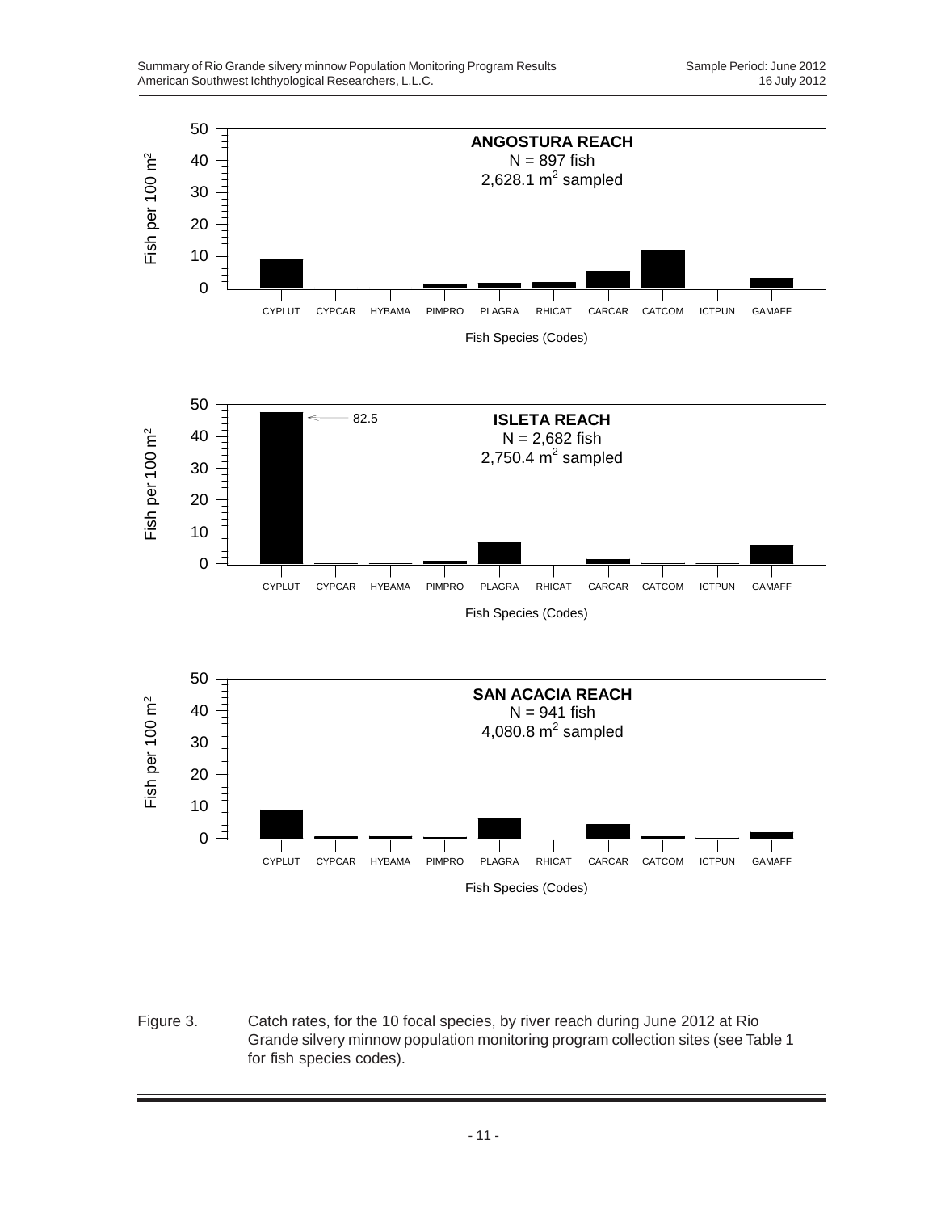

Figure 3. Catch rates, for the 10 focal species, by river reach during June 2012 at Rio Grande silvery minnow population monitoring program collection sites (see Table 1 for fish species codes).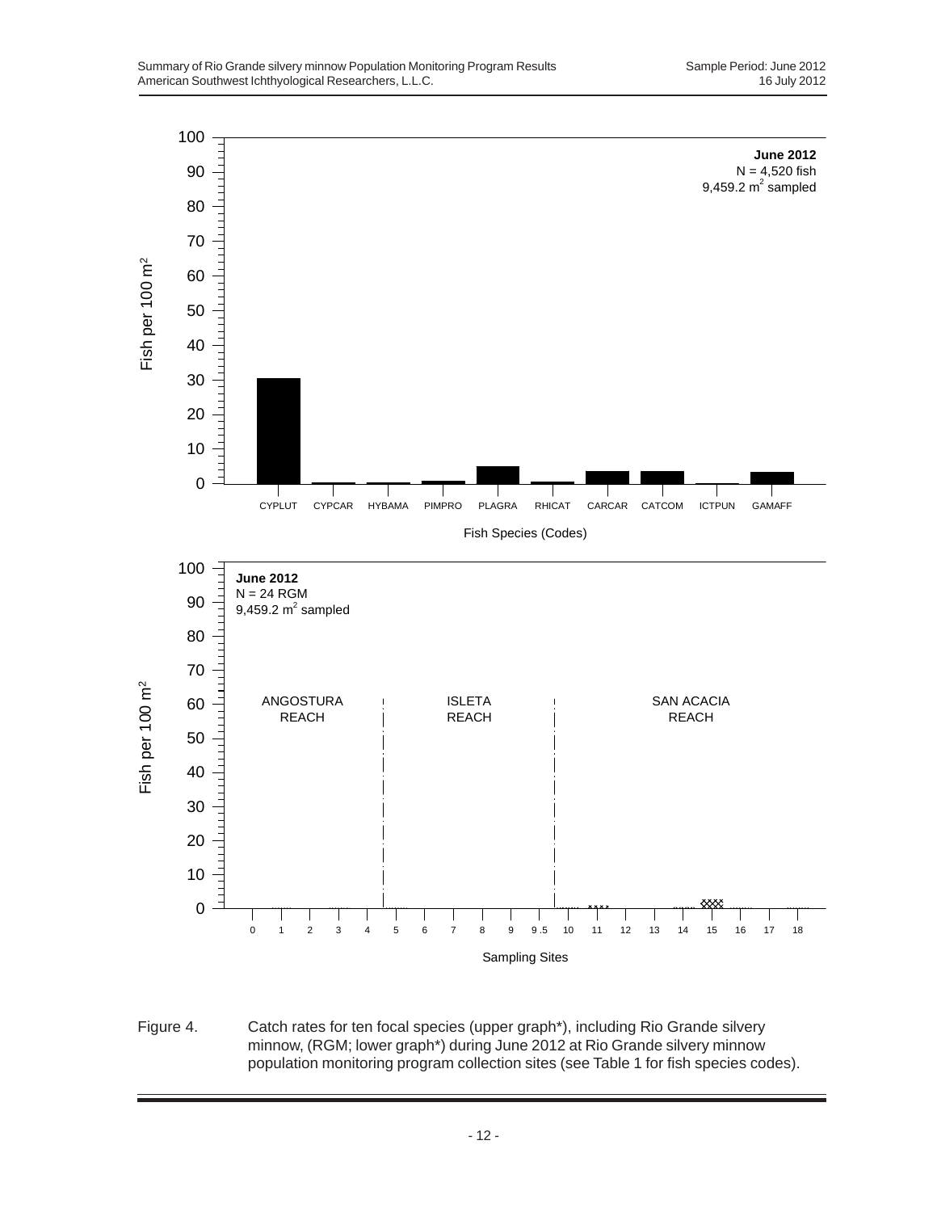

Figure 4. Catch rates for ten focal species (upper graph\*), including Rio Grande silvery minnow, (RGM; lower graph\*) during June 2012 at Rio Grande silvery minnow population monitoring program collection sites (see Table 1 for fish species codes).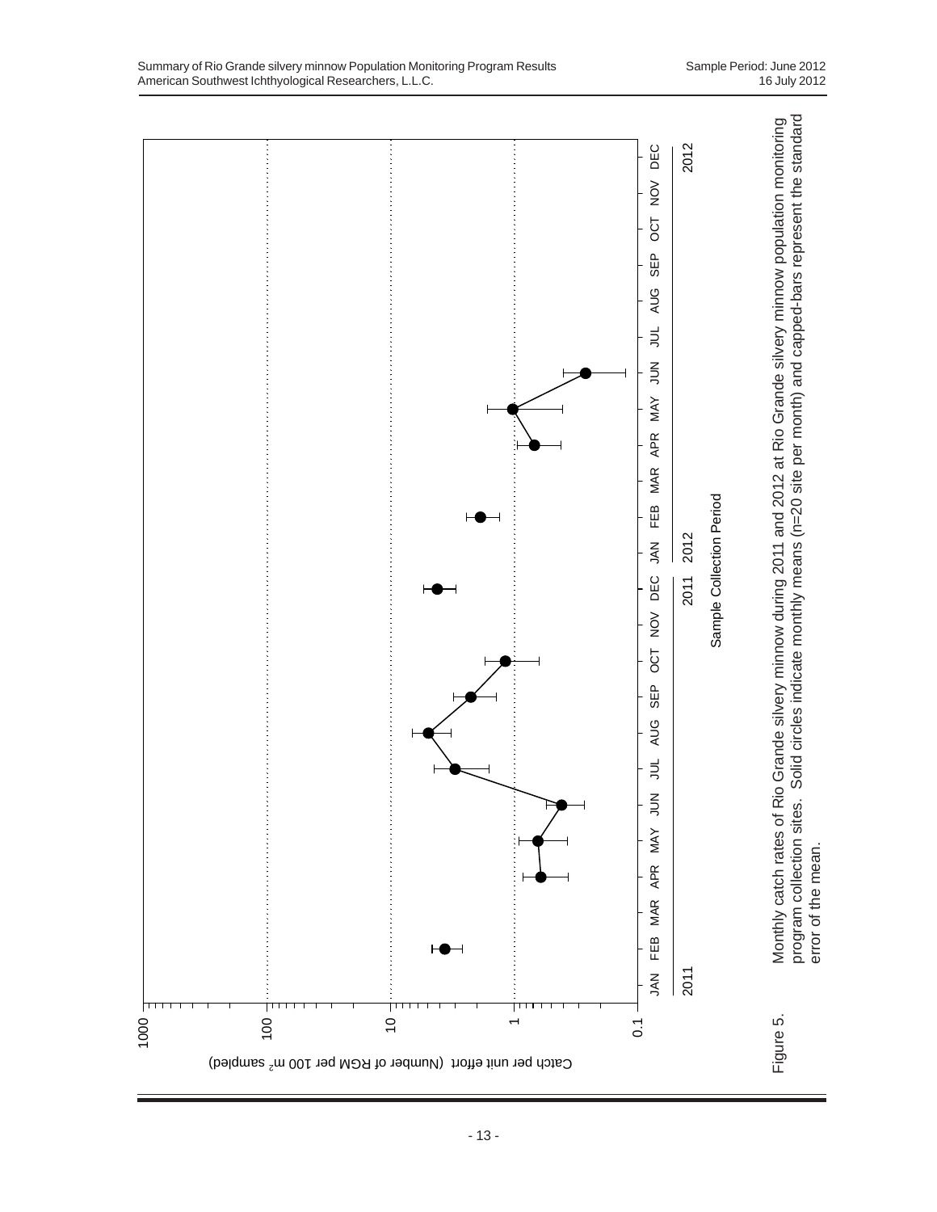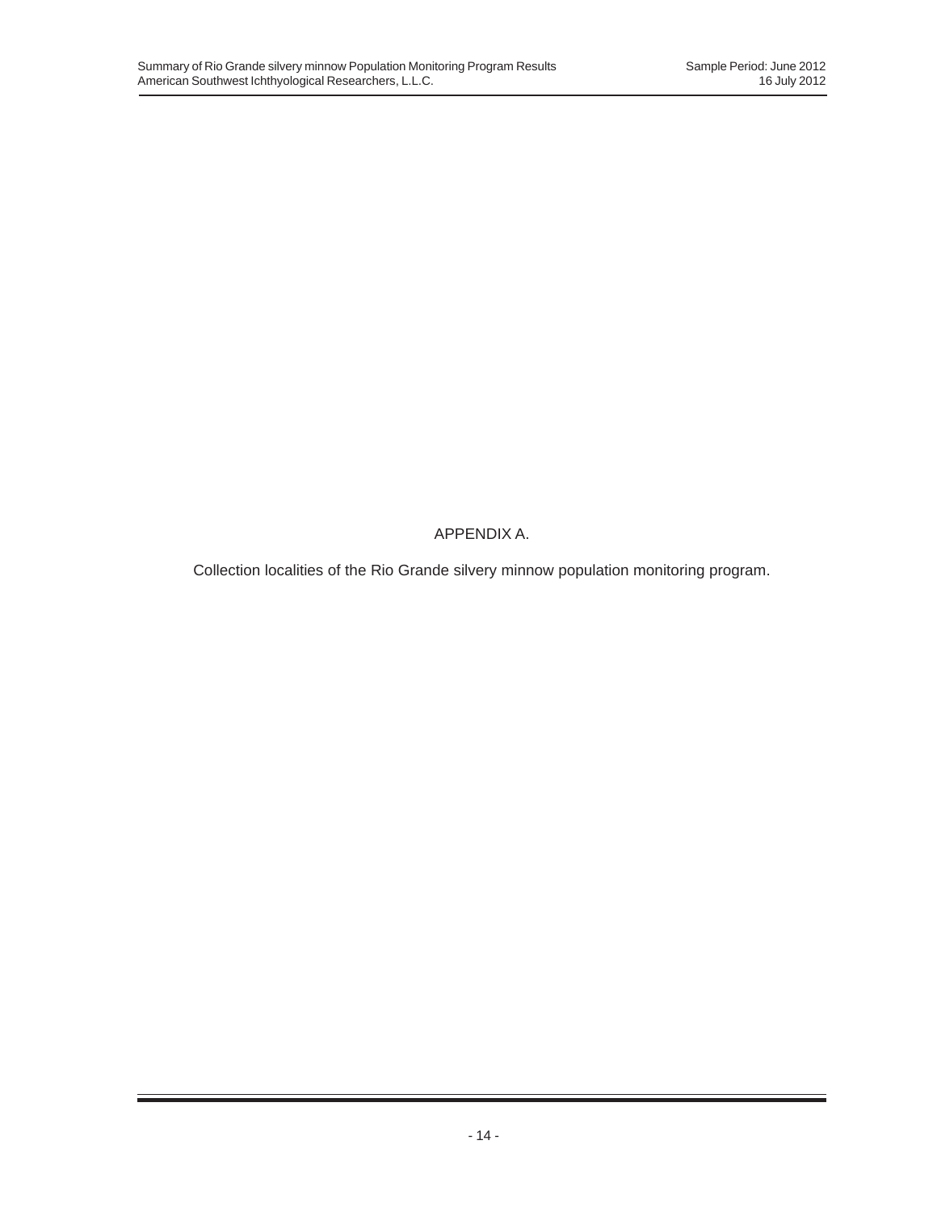APPENDIX A.

Collection localities of the Rio Grande silvery minnow population monitoring program.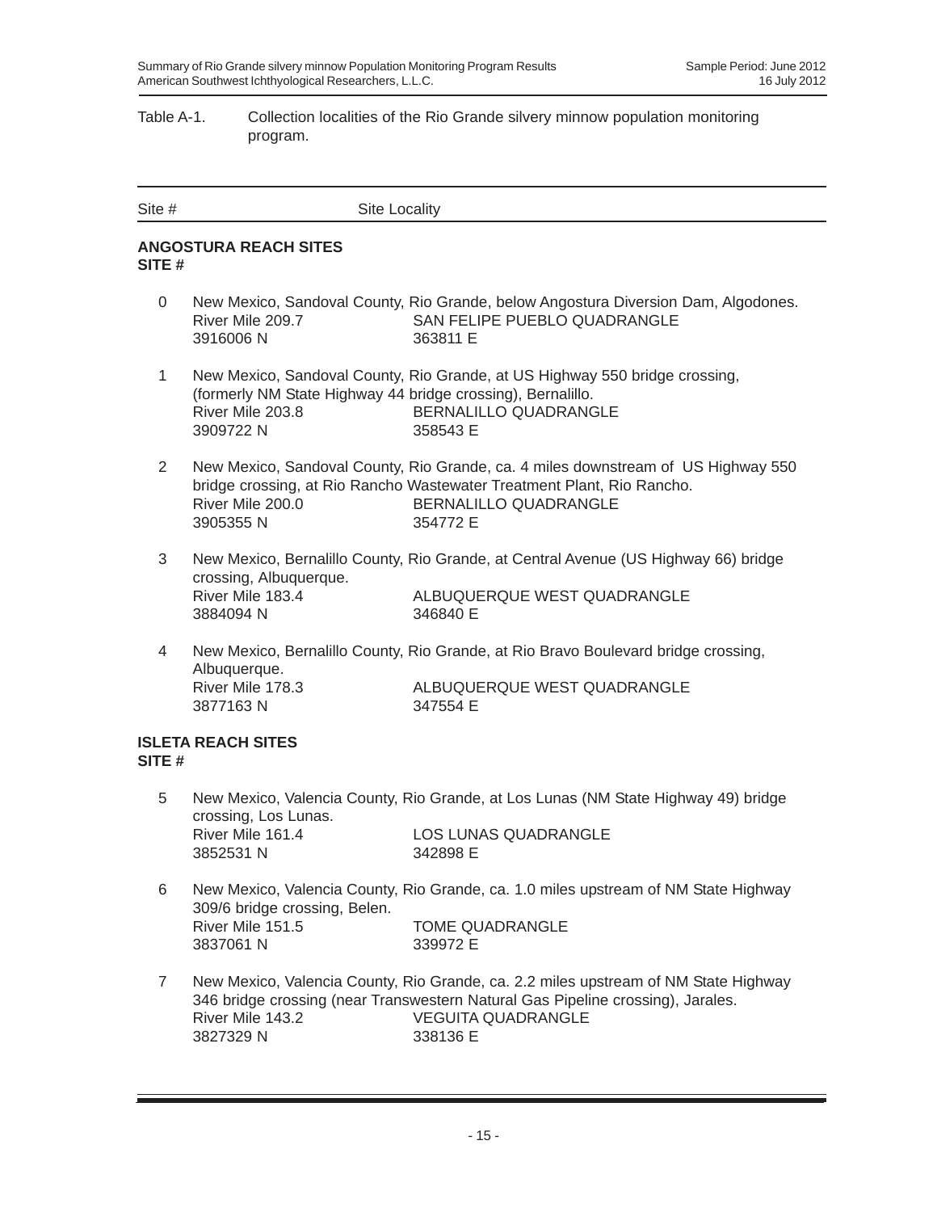## Table A-1. Collection localities of the Rio Grande silvery minnow population monitoring program.

| Site #         | <b>Site Locality</b>                                                                        |                                                                                                                                                                                                                 |
|----------------|---------------------------------------------------------------------------------------------|-----------------------------------------------------------------------------------------------------------------------------------------------------------------------------------------------------------------|
| SITE #         | <b>ANGOSTURA REACH SITES</b>                                                                |                                                                                                                                                                                                                 |
| $\mathbf{0}$   | River Mile 209.7<br>3916006N                                                                | New Mexico, Sandoval County, Rio Grande, below Angostura Diversion Dam, Algodones.<br>SAN FELIPE PUEBLO QUADRANGLE<br>363811 E                                                                                  |
| $\mathbf{1}$   | (formerly NM State Highway 44 bridge crossing), Bernalillo.<br>River Mile 203.8<br>3909722N | New Mexico, Sandoval County, Rio Grande, at US Highway 550 bridge crossing,<br><b>BERNALILLO QUADRANGLE</b><br>358543 E                                                                                         |
| $\overline{2}$ | River Mile 200.0<br>3905355N                                                                | New Mexico, Sandoval County, Rio Grande, ca. 4 miles downstream of US Highway 550<br>bridge crossing, at Rio Rancho Wastewater Treatment Plant, Rio Rancho.<br>BERNALILLO QUADRANGLE<br>354772 E                |
| 3              | crossing, Albuquerque.<br>River Mile 183.4<br>3884094 N                                     | New Mexico, Bernalillo County, Rio Grande, at Central Avenue (US Highway 66) bridge<br>ALBUQUERQUE WEST QUADRANGLE<br>346840 E                                                                                  |
| $\overline{4}$ | Albuquerque.<br>River Mile 178.3<br>3877163N                                                | New Mexico, Bernalillo County, Rio Grande, at Rio Bravo Boulevard bridge crossing,<br>ALBUQUERQUE WEST QUADRANGLE<br>347554 E                                                                                   |
| SITE#          | <b>ISLETA REACH SITES</b>                                                                   |                                                                                                                                                                                                                 |
| 5              | crossing, Los Lunas.<br>River Mile 161.4<br>3852531 N                                       | New Mexico, Valencia County, Rio Grande, at Los Lunas (NM State Highway 49) bridge<br><b>LOS LUNAS QUADRANGLE</b><br>342898 E                                                                                   |
| 6              | 309/6 bridge crossing, Belen.                                                               | New Mexico, Valencia County, Rio Grande, ca. 1.0 miles upstream of NM State Highway                                                                                                                             |
|                | River Mile 151.5<br>3837061 N                                                               | <b>TOME QUADRANGLE</b><br>339972 E                                                                                                                                                                              |
| $\overline{7}$ | River Mile 143.2<br>3827329 N                                                               | New Mexico, Valencia County, Rio Grande, ca. 2.2 miles upstream of NM State Highway<br>346 bridge crossing (near Transwestern Natural Gas Pipeline crossing), Jarales.<br><b>VEGUITA QUADRANGLE</b><br>338136 E |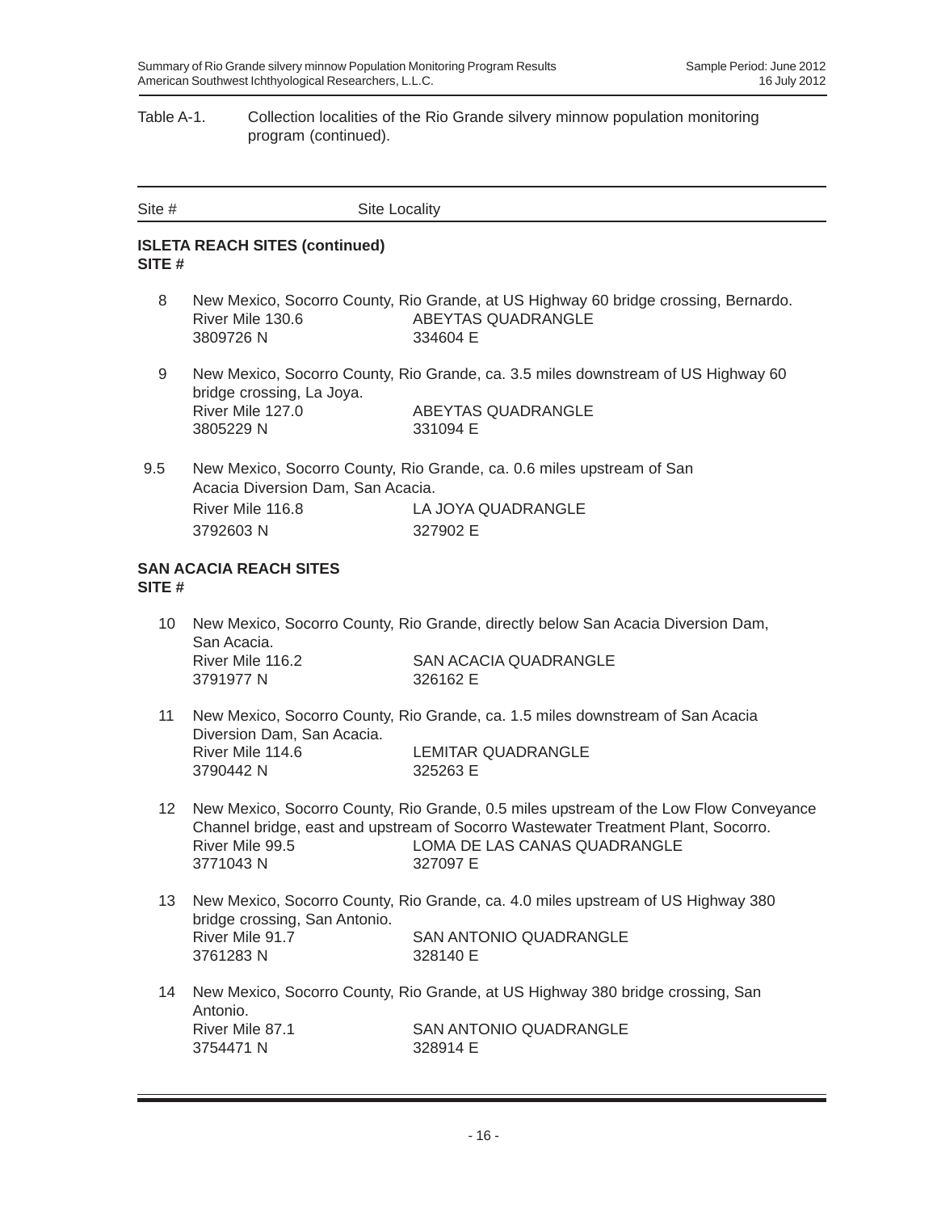## Table A-1. Collection localities of the Rio Grande silvery minnow population monitoring program (continued).

| Site $#$ | <b>Site Locality</b>                                              |                                                                                                                                                                                                                        |
|----------|-------------------------------------------------------------------|------------------------------------------------------------------------------------------------------------------------------------------------------------------------------------------------------------------------|
| SITE#    | <b>ISLETA REACH SITES (continued)</b>                             |                                                                                                                                                                                                                        |
| 8        | River Mile 130.6<br>3809726N                                      | New Mexico, Socorro County, Rio Grande, at US Highway 60 bridge crossing, Bernardo.<br>ABEYTAS QUADRANGLE<br>334604 E                                                                                                  |
| 9        | bridge crossing, La Joya.<br>River Mile 127.0<br>3805229 N        | New Mexico, Socorro County, Rio Grande, ca. 3.5 miles downstream of US Highway 60<br>ABEYTAS QUADRANGLE<br>331094 E                                                                                                    |
| 9.5      | Acacia Diversion Dam, San Acacia.<br>River Mile 116.8<br>3792603N | New Mexico, Socorro County, Rio Grande, ca. 0.6 miles upstream of San<br>LA JOYA QUADRANGLE<br>327902 E                                                                                                                |
| SITE#    | <b>SAN ACACIA REACH SITES</b>                                     |                                                                                                                                                                                                                        |
| 10       | San Acacia.<br>River Mile 116.2<br>3791977 N                      | New Mexico, Socorro County, Rio Grande, directly below San Acacia Diversion Dam,<br><b>SAN ACACIA QUADRANGLE</b><br>326162 E                                                                                           |
| 11       | Diversion Dam, San Acacia.<br>River Mile 114.6<br>3790442 N       | New Mexico, Socorro County, Rio Grande, ca. 1.5 miles downstream of San Acacia<br>LEMITAR QUADRANGLE<br>325263 E                                                                                                       |
| 12       | River Mile 99.5<br>3771043N                                       | New Mexico, Socorro County, Rio Grande, 0.5 miles upstream of the Low Flow Conveyance<br>Channel bridge, east and upstream of Socorro Wastewater Treatment Plant, Socorro.<br>LOMA DE LAS CANAS QUADRANGLE<br>327097 E |
| 13       | bridge crossing, San Antonio.<br>River Mile 91.7<br>3761283N      | New Mexico, Socorro County, Rio Grande, ca. 4.0 miles upstream of US Highway 380<br>SAN ANTONIO QUADRANGLE<br>328140 E                                                                                                 |
| 14       | Antonio.<br>River Mile 87.1<br>3754471 N                          | New Mexico, Socorro County, Rio Grande, at US Highway 380 bridge crossing, San<br>SAN ANTONIO QUADRANGLE<br>328914 E                                                                                                   |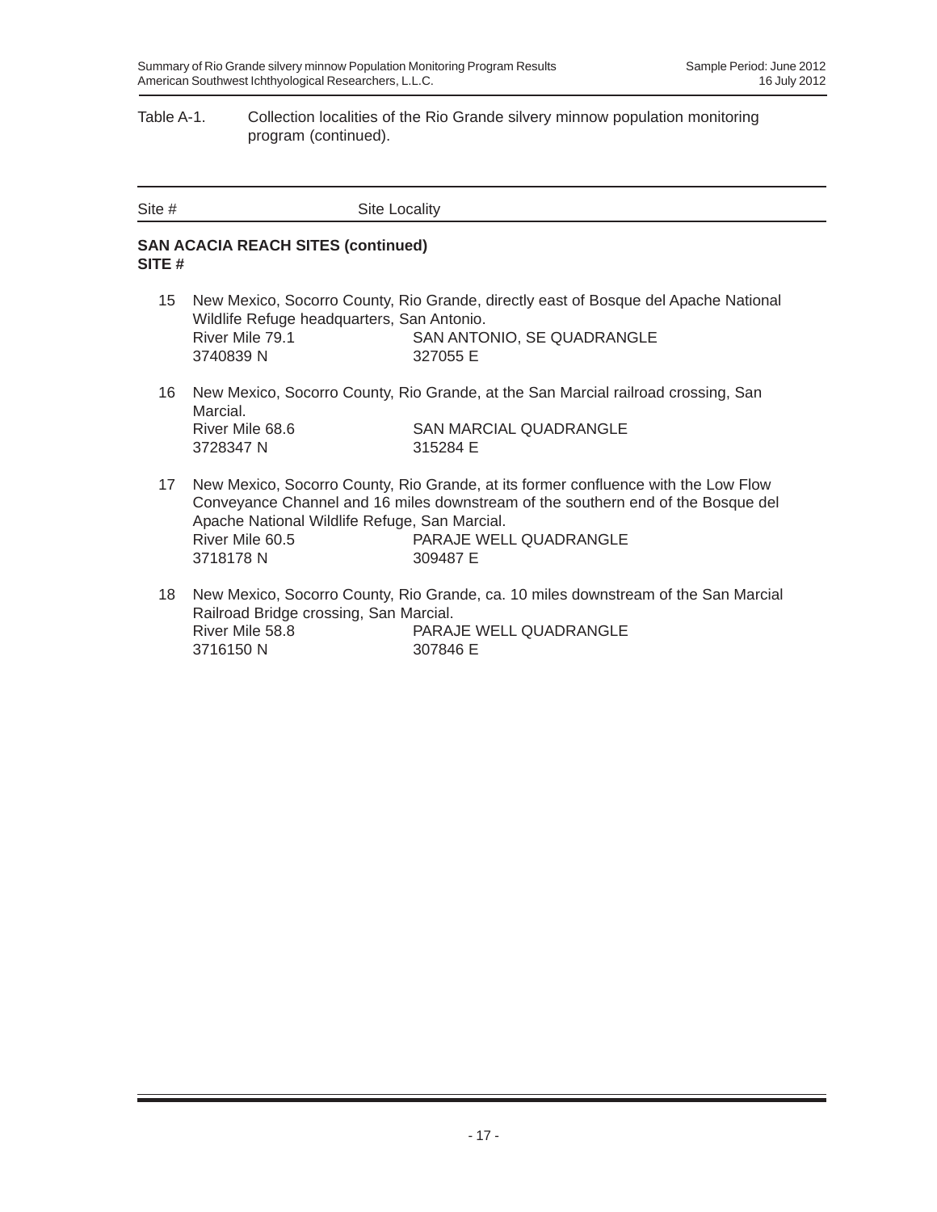#### Table A-1. Collection localities of the Rio Grande silvery minnow population monitoring program (continued).

| Site # | Site Locality |
|--------|---------------|

### **SAN ACACIA REACH SITES (continued) SITE #**

- 15 New Mexico, Socorro County, Rio Grande, directly east of Bosque del Apache National Wildlife Refuge headquarters, San Antonio. River Mile 79.1 SAN ANTONIO, SE QUADRANGLE 3740839 N 327055 E
- 16 New Mexico, Socorro County, Rio Grande, at the San Marcial railroad crossing, San Marcial. River Mile 68.6 SAN MARCIAL QUADRANGLE 3728347 N 315284 E
- 17 New Mexico, Socorro County, Rio Grande, at its former confluence with the Low Flow Conveyance Channel and 16 miles downstream of the southern end of the Bosque del Apache National Wildlife Refuge, San Marcial. River Mile 60.5 PARAJE WELL QUADRANGLE 3718178 N 309487 E
- 18 New Mexico, Socorro County, Rio Grande, ca. 10 miles downstream of the San Marcial Railroad Bridge crossing, San Marcial. River Mile 58.8 PARAJE WELL QUADRANGLE 3716150 N 307846 E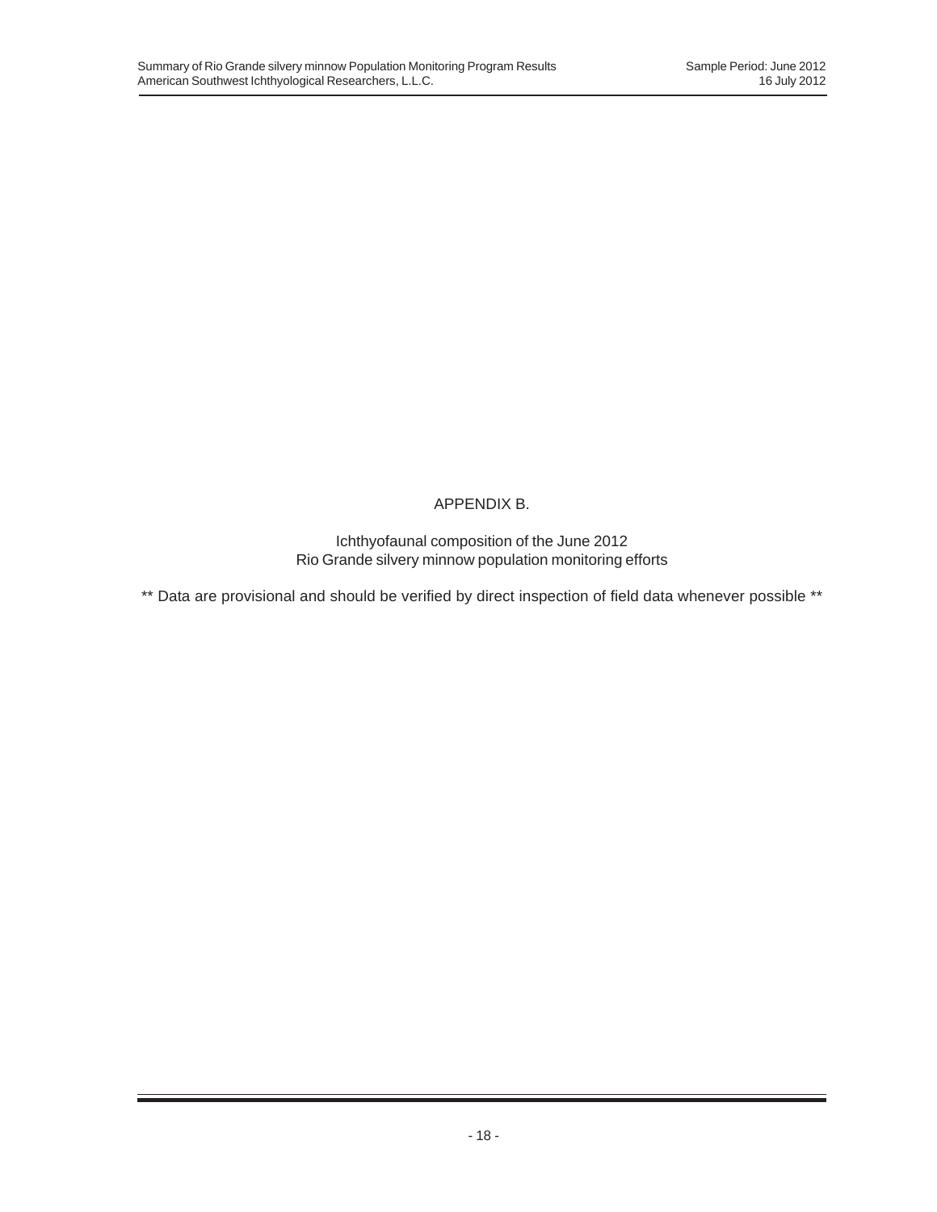# APPENDIX B.

Ichthyofaunal composition of the June 2012 Rio Grande silvery minnow population monitoring efforts

\*\* Data are provisional and should be verified by direct inspection of field data whenever possible \*\*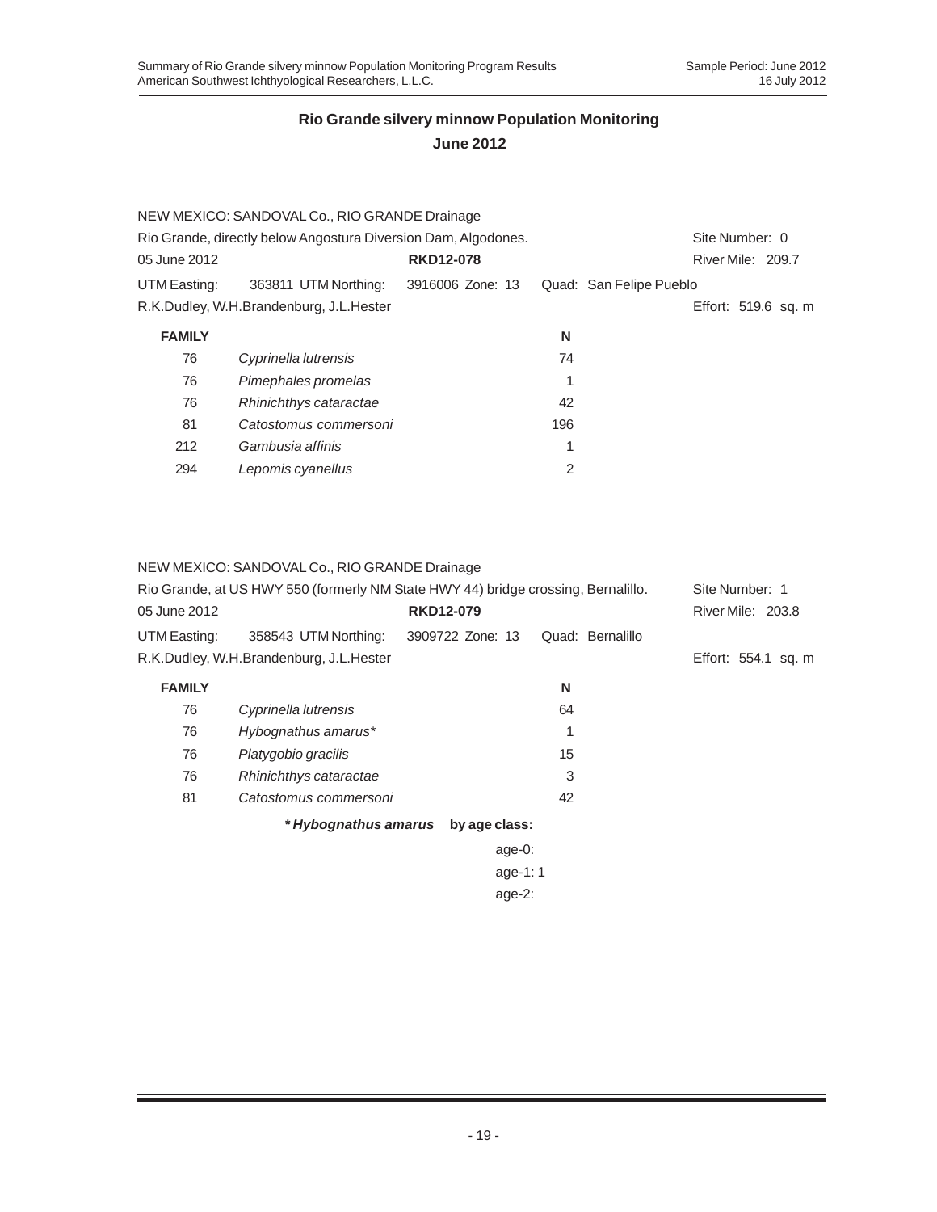|                                         | <b>RKD12-078</b> |                                                                                                                 |  |                         |                                                            |
|-----------------------------------------|------------------|-----------------------------------------------------------------------------------------------------------------|--|-------------------------|------------------------------------------------------------|
| 363811 UTM Northing:                    | 3916006 Zone: 13 |                                                                                                                 |  |                         |                                                            |
| R.K.Dudley, W.H.Brandenburg, J.L.Hester |                  |                                                                                                                 |  |                         |                                                            |
|                                         |                  | N                                                                                                               |  |                         |                                                            |
| Cyprinella lutrensis                    |                  | 74                                                                                                              |  |                         |                                                            |
| Pimephales promelas                     |                  |                                                                                                                 |  |                         |                                                            |
| Rhinichthys cataractae                  |                  | 42                                                                                                              |  |                         |                                                            |
| Catostomus commersoni                   |                  | 196                                                                                                             |  |                         |                                                            |
| Gambusia affinis                        |                  | 1                                                                                                               |  |                         |                                                            |
| Lepomis cyanellus                       |                  | 2                                                                                                               |  |                         |                                                            |
|                                         |                  | NEW MEXICO: SANDOVAL Co., RIO GRANDE Drainage<br>Rio Grande, directly below Angostura Diversion Dam, Algodones. |  | Quad: San Felipe Pueblo | Site Number: 0<br>River Mile: 209.7<br>Effort: 519.6 sq. m |

## NEW MEXICO: SANDOVAL Co., RIO GRANDE Drainage

|               | Rio Grande, at US HWY 550 (formerly NM State HWY 44) bridge crossing, Bernalillo. |                  |                  | Site Number: 1      |
|---------------|-----------------------------------------------------------------------------------|------------------|------------------|---------------------|
| 05 June 2012  |                                                                                   | <b>RKD12-079</b> |                  | River Mile: 203.8   |
| UTM Easting:  | 358543 UTM Northing:                                                              | 3909722 Zone: 13 | Quad: Bernalillo |                     |
|               | R.K.Dudley, W.H.Brandenburg, J.L.Hester                                           |                  |                  | Effort: 554.1 sq. m |
| <b>FAMILY</b> |                                                                                   |                  | N                |                     |
| 76            | Cyprinella lutrensis                                                              |                  | 64               |                     |
| 76            | Hybognathus amarus*                                                               |                  | 1                |                     |
| 76            | Platygobio gracilis                                                               |                  | 15               |                     |
| 76            | Rhinichthys cataractae                                                            |                  | 3                |                     |
| 81            | Catostomus commersoni                                                             |                  | 42               |                     |
|               | * Hybognathus amarus                                                              | by age class:    |                  |                     |
|               |                                                                                   | age-0:           |                  |                     |
|               |                                                                                   | age-1:1          |                  |                     |
|               |                                                                                   | age- $2$ :       |                  |                     |
|               |                                                                                   |                  |                  |                     |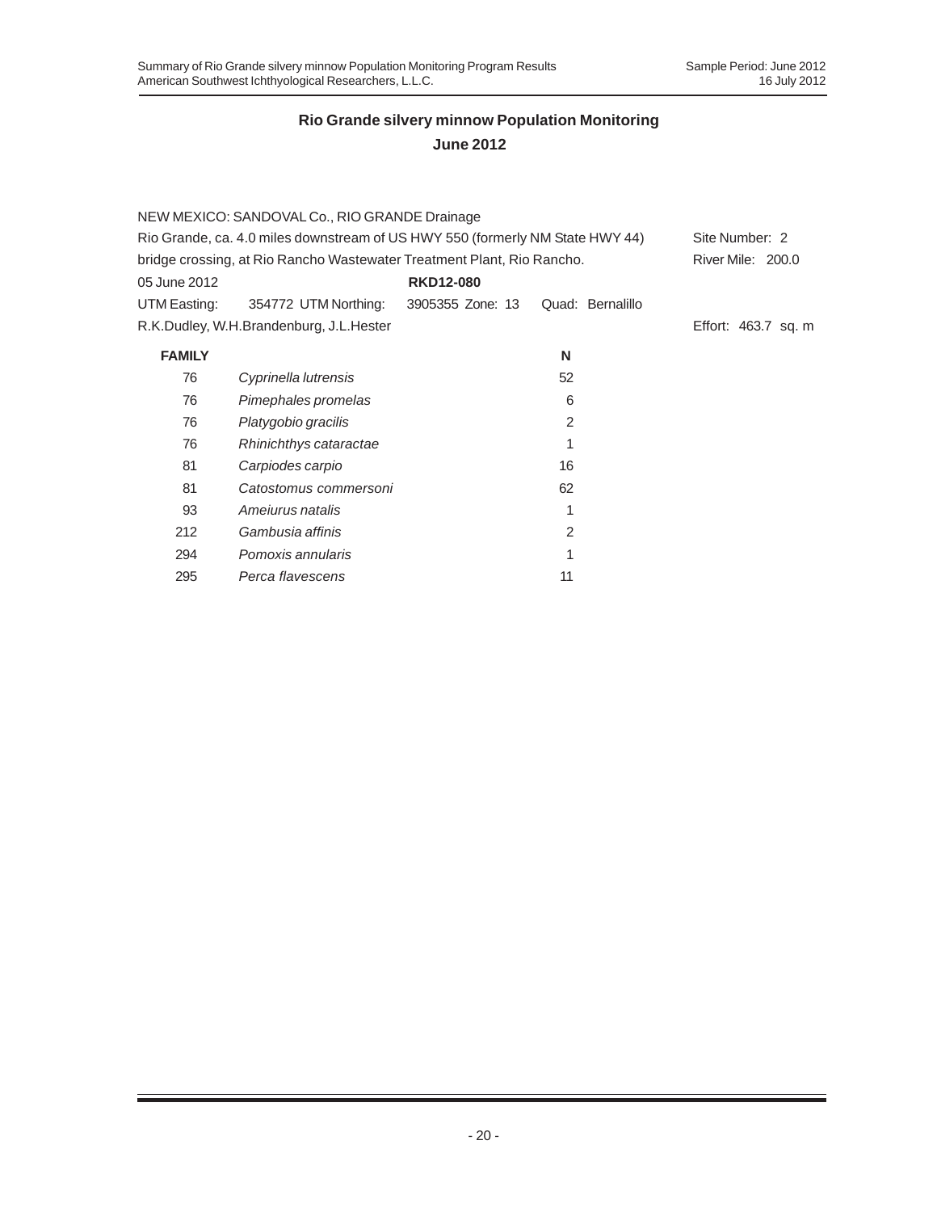|                                                                        | NEW MEXICO: SANDOVAL Co., RIO GRANDE Drainage                                 |                  |                  |                     |
|------------------------------------------------------------------------|-------------------------------------------------------------------------------|------------------|------------------|---------------------|
|                                                                        | Rio Grande, ca. 4.0 miles downstream of US HWY 550 (formerly NM State HWY 44) |                  |                  | Site Number: 2      |
| bridge crossing, at Rio Rancho Wastewater Treatment Plant, Rio Rancho. | River Mile: 200.0                                                             |                  |                  |                     |
| 05 June 2012                                                           |                                                                               | <b>RKD12-080</b> |                  |                     |
| UTM Easting:                                                           | 354772 UTM Northing:                                                          | 3905355 Zone: 13 | Quad: Bernalillo |                     |
|                                                                        | R.K.Dudley, W.H.Brandenburg, J.L.Hester                                       |                  |                  | Effort: 463.7 sq. m |
| <b>FAMILY</b>                                                          |                                                                               |                  | N                |                     |
| 76                                                                     | Cyprinella lutrensis                                                          |                  | 52               |                     |
| 76                                                                     | Pimephales promelas                                                           |                  | 6                |                     |
| 76                                                                     | Platygobio gracilis                                                           |                  | $\mathcal{P}$    |                     |
| 76                                                                     | Rhinichthys cataractae                                                        |                  |                  |                     |
| 81                                                                     | Carpiodes carpio                                                              |                  | 16               |                     |
| 81                                                                     | Catostomus commersoni                                                         |                  | 62               |                     |
| 93                                                                     | Amejurus natalis                                                              |                  | 1                |                     |
| 212                                                                    | Gambusia affinis                                                              |                  | 2                |                     |
| 294                                                                    | Pomoxis annularis                                                             |                  |                  |                     |
| 295                                                                    | Perca flavescens                                                              |                  | 11               |                     |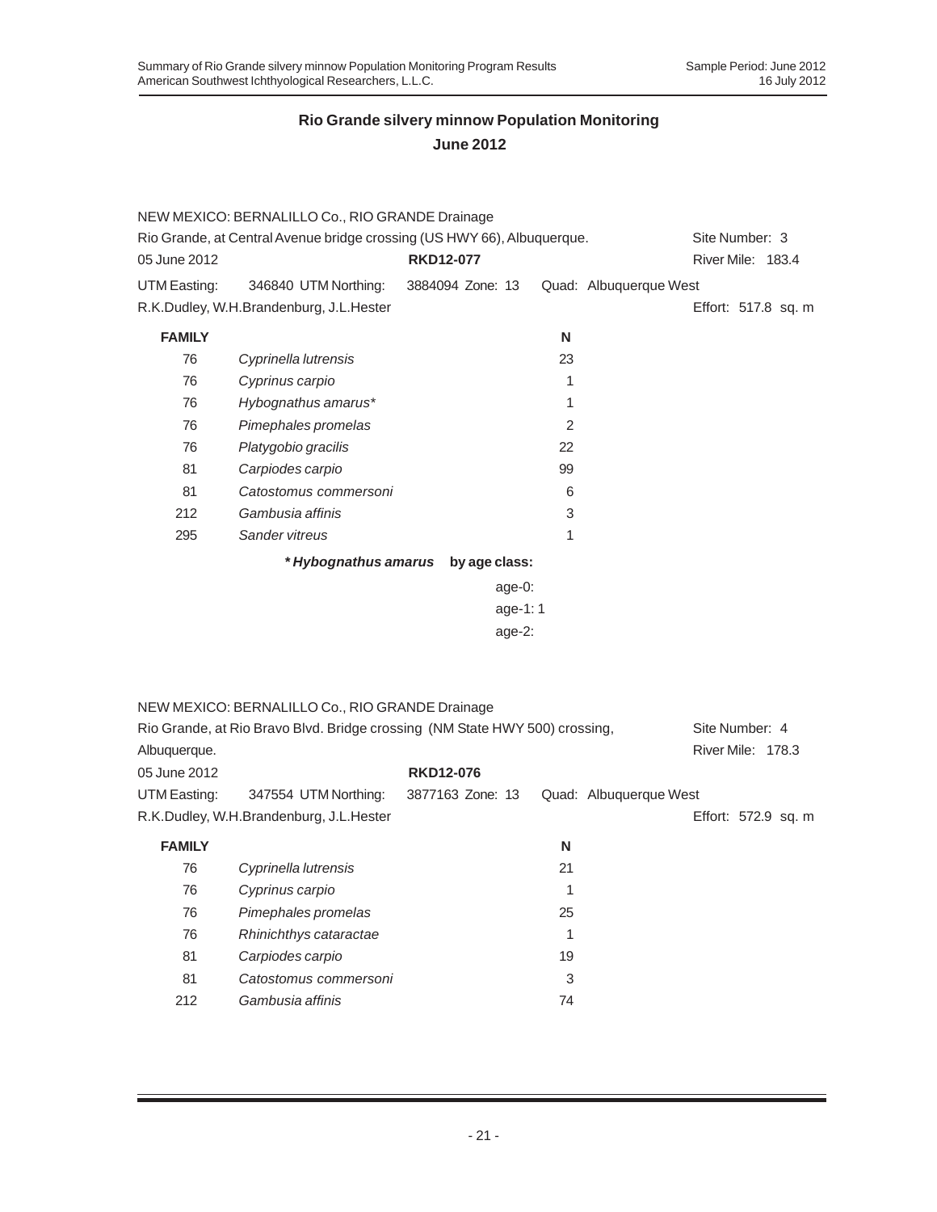|               | NEW MEXICO: BERNALILLO Co., RIO GRANDE Drainage                             |                  |                        |                     |
|---------------|-----------------------------------------------------------------------------|------------------|------------------------|---------------------|
|               | Rio Grande, at Central Avenue bridge crossing (US HWY 66), Albuquerque.     |                  |                        | Site Number: 3      |
| 05 June 2012  |                                                                             | <b>RKD12-077</b> |                        | River Mile: 183.4   |
| UTM Easting:  | 346840 UTM Northing:                                                        | 3884094 Zone: 13 | Quad: Albuquerque West |                     |
|               | R.K.Dudley, W.H.Brandenburg, J.L.Hester                                     |                  |                        | Effort: 517.8 sq. m |
| <b>FAMILY</b> |                                                                             |                  | N                      |                     |
| 76            | Cyprinella lutrensis                                                        |                  | 23                     |                     |
| 76            | Cyprinus carpio                                                             |                  | 1                      |                     |
| 76            | Hybognathus amarus*                                                         |                  | 1                      |                     |
| 76            | Pimephales promelas                                                         |                  | 2                      |                     |
| 76            | Platygobio gracilis                                                         |                  | 22                     |                     |
| 81            | Carpiodes carpio                                                            |                  | 99                     |                     |
| 81            | Catostomus commersoni                                                       |                  | 6                      |                     |
| 212           | Gambusia affinis                                                            |                  | 3                      |                     |
| 295           | Sander vitreus                                                              |                  | 1                      |                     |
|               | * Hybognathus amarus                                                        | by age class:    |                        |                     |
|               |                                                                             | age-0:           |                        |                     |
|               |                                                                             | age-1:1          |                        |                     |
|               |                                                                             | age-2:           |                        |                     |
|               |                                                                             |                  |                        |                     |
|               |                                                                             |                  |                        |                     |
|               | NEW MEXICO: BERNALILLO Co., RIO GRANDE Drainage                             |                  |                        |                     |
|               | Rio Grande, at Rio Bravo Blvd. Bridge crossing (NM State HWY 500) crossing, |                  |                        | Site Number: 4      |
| Albuquerque.  |                                                                             |                  |                        | River Mile: 178.3   |
| 05 June 2012  |                                                                             | <b>RKD12-076</b> |                        |                     |
| UTM Easting:  | 347554 UTM Northing:                                                        | 3877163 Zone: 13 | Quad: Albuquerque West |                     |
|               | R.K.Dudley, W.H.Brandenburg, J.L.Hester                                     |                  |                        | Effort: 572.9 sq. m |
| <b>FAMILY</b> |                                                                             |                  | N                      |                     |
| 76            | Cyprinella lutrensis                                                        |                  | 21                     |                     |
| 76            | Cyprinus carpio                                                             |                  | $\mathbf{1}$           |                     |
| 76            | Pimephales promelas                                                         |                  | 25                     |                     |
| 76            | Rhinichthys cataractae                                                      |                  | 1                      |                     |
| 81            | Carpiodes carpio                                                            |                  | 19                     |                     |
| 81            | Catostomus commersoni                                                       |                  | 3                      |                     |
| 212           | Gambusia affinis                                                            |                  | 74                     |                     |
|               |                                                                             |                  |                        |                     |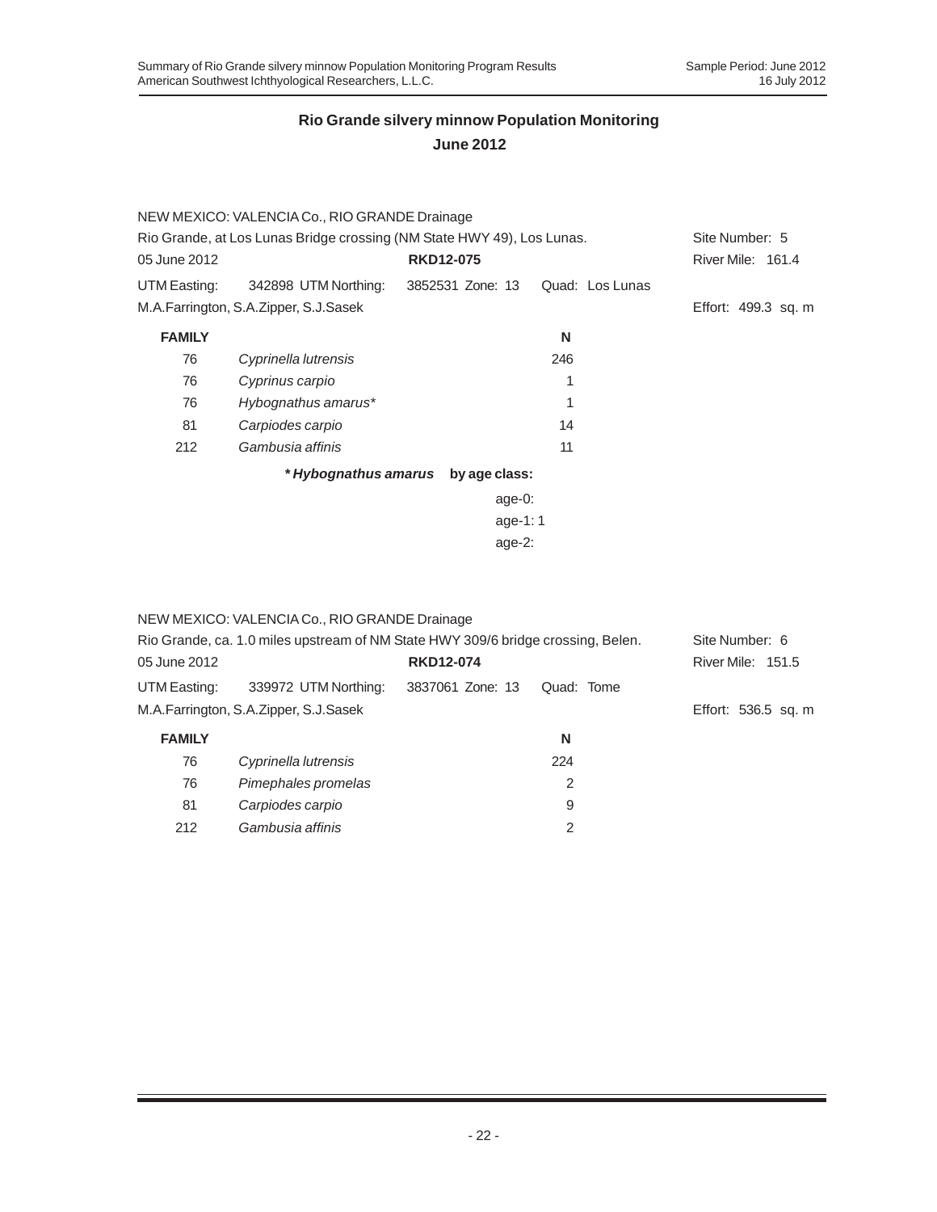|                                                                        | NEW MEXICO: VALENCIA Co., RIO GRANDE Drainage |                                    |                 |                     |
|------------------------------------------------------------------------|-----------------------------------------------|------------------------------------|-----------------|---------------------|
| Rio Grande, at Los Lunas Bridge crossing (NM State HWY 49), Los Lunas. | Site Number: 5                                |                                    |                 |                     |
| 05 June 2012                                                           |                                               | <b>RKD12-075</b>                   |                 | River Mile: 161.4   |
| UTM Easting:                                                           | 342898 UTM Northing:                          | 3852531 Zone: 13                   | Quad: Los Lunas |                     |
|                                                                        | M.A.Farrington, S.A.Zipper, S.J.Sasek         |                                    |                 | Effort: 499.3 sq. m |
| <b>FAMILY</b>                                                          |                                               |                                    | N               |                     |
| 76                                                                     | Cyprinella lutrensis                          |                                    | 246             |                     |
| 76                                                                     | Cyprinus carpio                               |                                    | 1               |                     |
| 76                                                                     | Hybognathus amarus*                           |                                    | 1               |                     |
| 81                                                                     | Carpiodes carpio                              |                                    | 14              |                     |
| 212                                                                    | Gambusia affinis                              |                                    | 11              |                     |
|                                                                        |                                               | * Hybognathus amarus by age class: |                 |                     |
|                                                                        |                                               | age-0:                             |                 |                     |
|                                                                        |                                               | age-1:1                            |                 |                     |
|                                                                        |                                               | age- $2$ :                         |                 |                     |

|               | NEW MEXICO: VALENCIA Co., RIO GRANDE Drainage |                                                                                  |                     |
|---------------|-----------------------------------------------|----------------------------------------------------------------------------------|---------------------|
|               |                                               | Rio Grande, ca. 1.0 miles upstream of NM State HWY 309/6 bridge crossing, Belen. | Site Number: 6      |
| 05 June 2012  |                                               | <b>RKD12-074</b>                                                                 | River Mile: 151.5   |
| UTM Easting:  | 339972 UTM Northing:                          | 3837061 Zone: 13<br>Quad: Tome                                                   |                     |
|               | M.A.Farrington, S.A.Zipper, S.J.Sasek         |                                                                                  | Effort: 536.5 sq. m |
| <b>FAMILY</b> |                                               | N                                                                                |                     |
| 76            | Cyprinella lutrensis                          | 224                                                                              |                     |
| 76            | Pimephales promelas                           | $\mathcal{P}$                                                                    |                     |
| 81            | Carpiodes carpio                              | 9                                                                                |                     |
| 212           | Gambusia affinis                              | 2                                                                                |                     |
|               |                                               |                                                                                  |                     |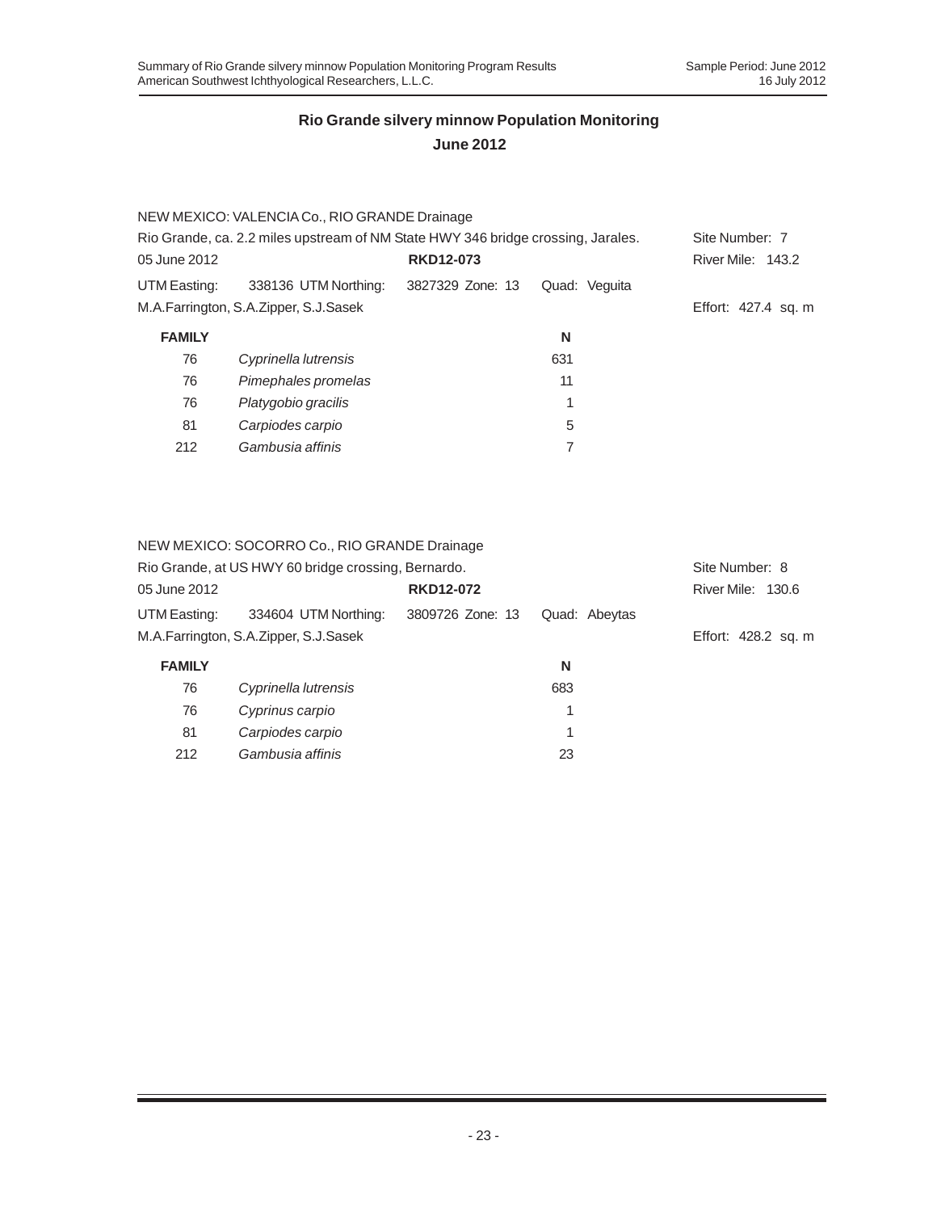# **June 2012**

|               | NEW MEXICO: VALENCIA Co., RIO GRANDE Drainage                                    |                  |               |                     |
|---------------|----------------------------------------------------------------------------------|------------------|---------------|---------------------|
|               | Rio Grande, ca. 2.2 miles upstream of NM State HWY 346 bridge crossing, Jarales. |                  |               | Site Number: 7      |
| 05 June 2012  |                                                                                  | <b>RKD12-073</b> |               | River Mile: 143.2   |
| UTM Easting:  | 338136 UTM Northing:                                                             | 3827329 Zone: 13 | Quad: Veguita |                     |
|               | M.A.Farrington, S.A.Zipper, S.J.Sasek                                            |                  |               | Effort: 427.4 sq. m |
| <b>FAMILY</b> |                                                                                  |                  | N             |                     |
| 76            | Cyprinella lutrensis                                                             |                  | 631           |                     |
| 76            | Pimephales promelas                                                              |                  | 11            |                     |
| 76            | Platygobio gracilis                                                              |                  |               |                     |
| 81            | Carpiodes carpio                                                                 |                  | 5             |                     |
| 212           | Gambusia affinis                                                                 |                  |               |                     |

#### NEW MEXICO: SOCORRO Co., RIO GRANDE Drainage

|               | Rio Grande, at US HWY 60 bridge crossing, Bernardo. |                  |               | Site Number: 8      |
|---------------|-----------------------------------------------------|------------------|---------------|---------------------|
| 05 June 2012  |                                                     | <b>RKD12-072</b> |               | River Mile: 130.6   |
| UTM Easting:  | 334604 UTM Northing:                                | 3809726 Zone: 13 | Quad: Abeytas |                     |
|               | M.A.Farrington, S.A.Zipper, S.J.Sasek               |                  |               | Effort: 428.2 sq. m |
| <b>FAMILY</b> |                                                     |                  | N             |                     |
| 76            | Cyprinella lutrensis                                |                  | 683           |                     |
| 76            | Cyprinus carpio                                     |                  |               |                     |
| 81            | Carpiodes carpio                                    |                  |               |                     |
| 212           | Gambusia affinis                                    |                  | 23            |                     |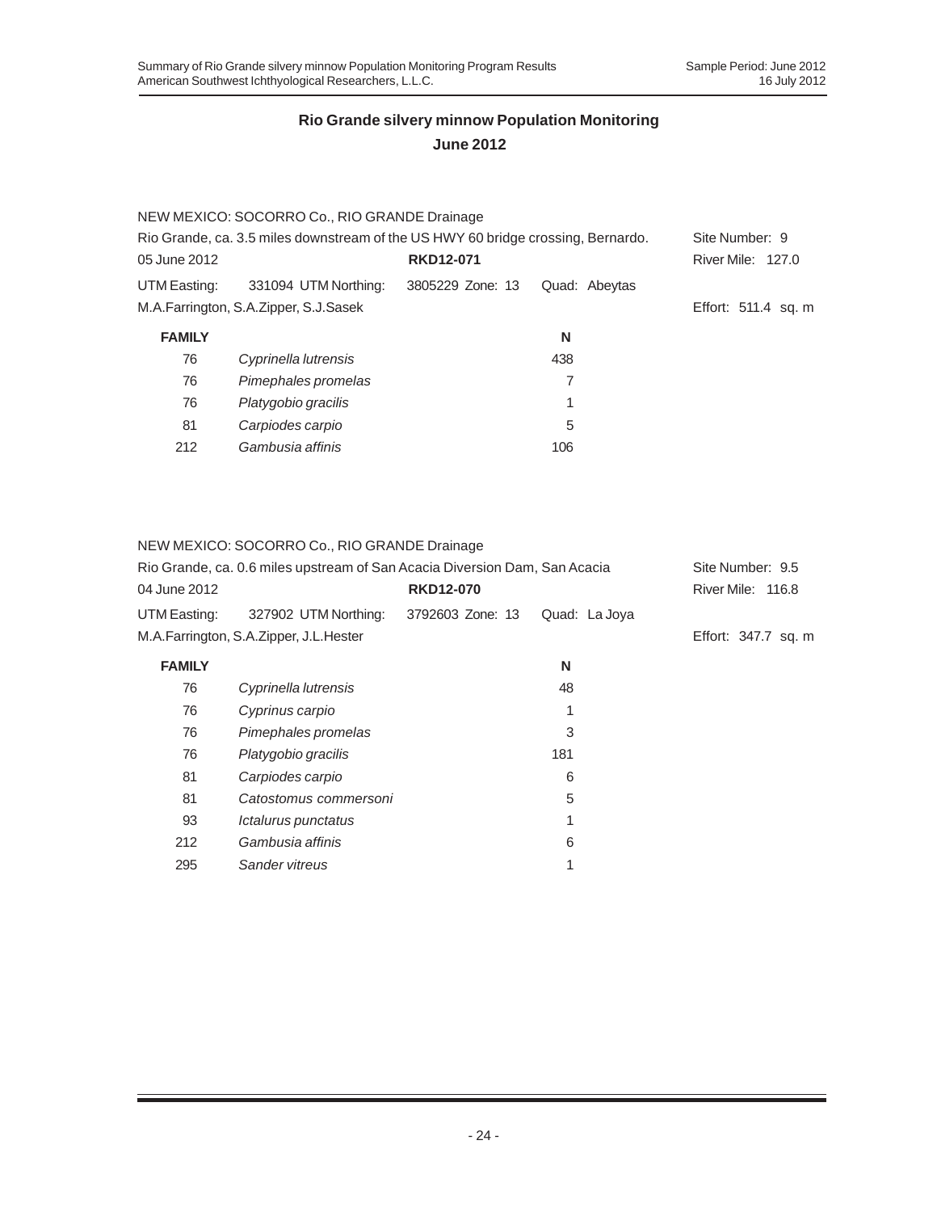# **June 2012**

|               | NEW MEXICO: SOCORRO Co., RIO GRANDE Drainage                                     |                  |               |                     |
|---------------|----------------------------------------------------------------------------------|------------------|---------------|---------------------|
|               | Rio Grande, ca. 3.5 miles downstream of the US HWY 60 bridge crossing, Bernardo. |                  |               | Site Number: 9      |
| 05 June 2012  |                                                                                  | <b>RKD12-071</b> |               | River Mile: 127.0   |
| UTM Easting:  | 331094 UTM Northing:                                                             | 3805229 Zone: 13 | Quad: Abeytas |                     |
|               | M.A.Farrington, S.A.Zipper, S.J.Sasek                                            |                  |               | Effort: 511.4 sq. m |
| <b>FAMILY</b> |                                                                                  |                  | N             |                     |
| 76            | Cyprinella lutrensis                                                             |                  | 438           |                     |
| 76            | Pimephales promelas                                                              |                  | 7             |                     |
| 76            | Platygobio gracilis                                                              |                  | 1             |                     |
| 81            | Carpiodes carpio                                                                 |                  | 5             |                     |
| 212           | Gambusia affinis                                                                 |                  | 106           |                     |

#### NEW MEXICO: SOCORRO Co., RIO GRANDE Drainage

|               | Rio Grande, ca. 0.6 miles upstream of San Acacia Diversion Dam, San Acacia |                  |               | Site Number: 9.5    |  |  |  |
|---------------|----------------------------------------------------------------------------|------------------|---------------|---------------------|--|--|--|
| 04 June 2012  |                                                                            | <b>RKD12-070</b> |               |                     |  |  |  |
| UTM Easting:  | 327902 UTM Northing:                                                       | 3792603 Zone: 13 | Quad: La Joya |                     |  |  |  |
|               | M.A.Farrington, S.A.Zipper, J.L.Hester                                     |                  |               | Effort: 347.7 sq. m |  |  |  |
| <b>FAMILY</b> |                                                                            |                  | N             |                     |  |  |  |
| 76            | Cyprinella lutrensis                                                       |                  | 48            |                     |  |  |  |
| 76            | Cyprinus carpio                                                            |                  | 1             |                     |  |  |  |
| 76            | Pimephales promelas                                                        |                  | 3             |                     |  |  |  |
| 76            | Platygobio gracilis                                                        |                  | 181           |                     |  |  |  |
| 81            | Carpiodes carpio                                                           |                  | 6             |                     |  |  |  |
| 81            | Catostomus commersoni                                                      |                  | 5             |                     |  |  |  |
| 93            | Ictalurus punctatus                                                        |                  | 1             |                     |  |  |  |
| 212           | Gambusia affinis                                                           |                  | 6             |                     |  |  |  |
| 295           | Sander vitreus                                                             |                  | 1             |                     |  |  |  |
|               |                                                                            |                  |               |                     |  |  |  |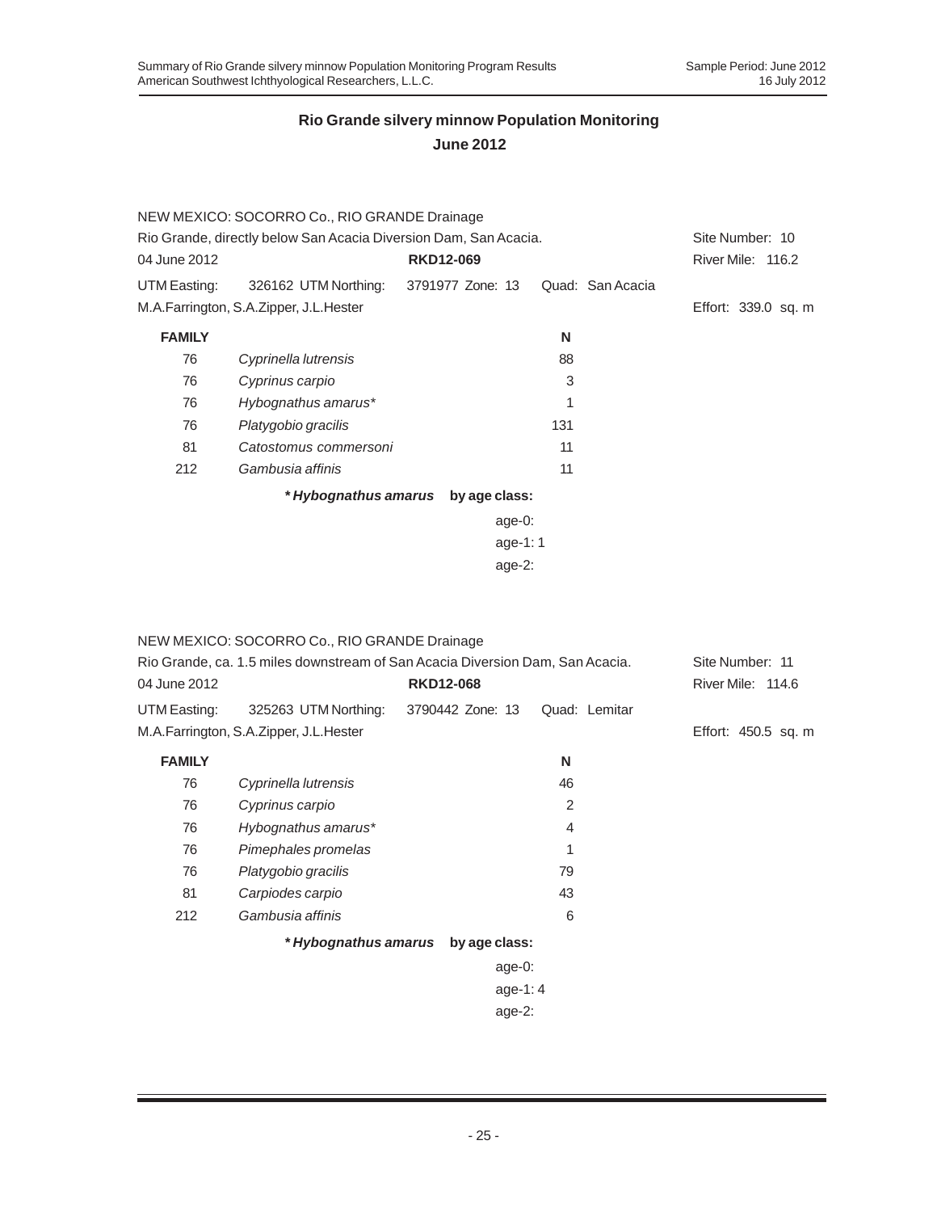### **June 2012**

|                                                                  | NEW MEXICO: SOCORRO Co., RIO GRANDE Drainage |                  |            |     |                  |                     |
|------------------------------------------------------------------|----------------------------------------------|------------------|------------|-----|------------------|---------------------|
| Rio Grande, directly below San Acacia Diversion Dam, San Acacia. |                                              |                  |            |     | Site Number: 10  |                     |
| 04 June 2012                                                     |                                              | <b>RKD12-069</b> |            |     |                  | River Mile: 116.2   |
| UTM Easting:                                                     | 326162 UTM Northing: 3791977 Zone: 13        |                  |            |     | Quad: San Acacia |                     |
|                                                                  | M.A.Farrington, S.A.Zipper, J.L.Hester       |                  |            |     |                  | Effort: 339.0 sq. m |
| <b>FAMILY</b>                                                    |                                              |                  |            | N   |                  |                     |
| 76                                                               | Cyprinella lutrensis                         |                  |            | 88  |                  |                     |
| 76                                                               | Cyprinus carpio                              |                  |            | 3   |                  |                     |
| 76                                                               | Hybognathus amarus*                          |                  |            | 1   |                  |                     |
| 76                                                               | Platygobio gracilis                          |                  |            | 131 |                  |                     |
| 81                                                               | Catostomus commersoni                        |                  |            | 11  |                  |                     |
| 212                                                              | Gambusia affinis                             |                  |            | 11  |                  |                     |
|                                                                  | * Hybognathus amarus by age class:           |                  |            |     |                  |                     |
|                                                                  |                                              |                  | age- $0$ : |     |                  |                     |
|                                                                  |                                              |                  |            |     |                  |                     |

age-1: 1

age-2:

|               | NEW MEXICO: SOCORRO Co., RIO GRANDE Drainage                                  |                  |               |                     |
|---------------|-------------------------------------------------------------------------------|------------------|---------------|---------------------|
|               | Rio Grande, ca. 1.5 miles downstream of San Acacia Diversion Dam, San Acacia. |                  |               | Site Number: 11     |
| 04 June 2012  |                                                                               | <b>RKD12-068</b> |               | River Mile: 114.6   |
| UTM Easting:  | 325263 UTM Northing:                                                          | 3790442 Zone: 13 | Quad: Lemitar |                     |
|               | M.A.Farrington, S.A.Zipper, J.L.Hester                                        |                  |               | Effort: 450.5 sq. m |
| <b>FAMILY</b> |                                                                               |                  | N             |                     |
| 76            | Cyprinella lutrensis                                                          |                  | 46            |                     |
| 76            | Cyprinus carpio                                                               |                  | 2             |                     |
| 76            | Hybognathus amarus*                                                           |                  | 4             |                     |
| 76            | Pimephales promelas                                                           |                  | 1             |                     |
| 76            | Platygobio gracilis                                                           |                  | 79            |                     |
| 81            | Carpiodes carpio                                                              |                  | 43            |                     |
| 212           | Gambusia affinis                                                              |                  | 6             |                     |
|               | * Hybognathus amarus                                                          | by age class:    |               |                     |
|               |                                                                               | age- $0$ :       |               |                     |
|               |                                                                               | age-1: $4$       |               |                     |
|               |                                                                               | age- $2$ :       |               |                     |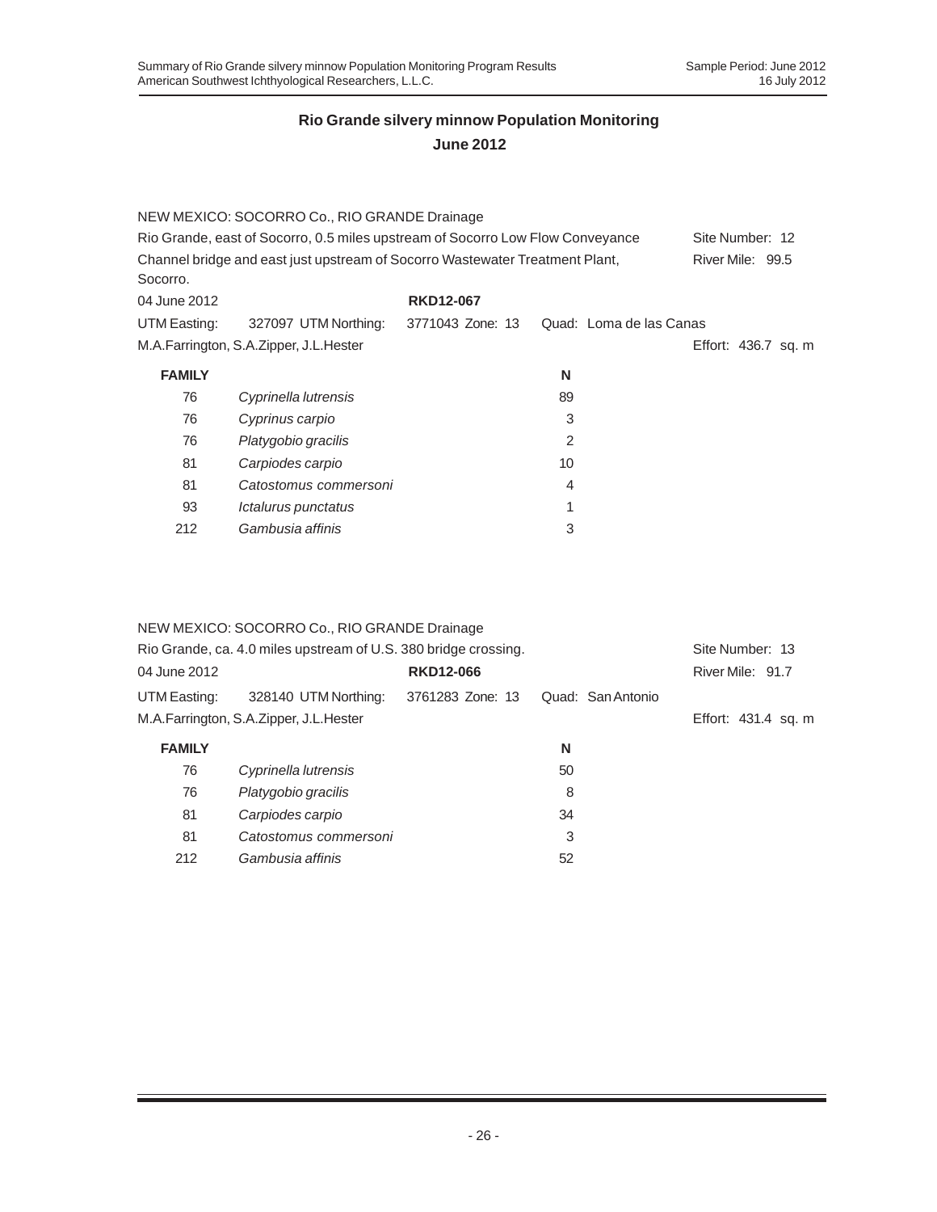# **June 2012**

|               | NEW MEXICO: SOCORRO Co., RIO GRANDE Drainage                                   |                  |                         |                     |
|---------------|--------------------------------------------------------------------------------|------------------|-------------------------|---------------------|
|               | Rio Grande, east of Socorro, 0.5 miles upstream of Socorro Low Flow Conveyance |                  |                         | Site Number: 12     |
| Socorro.      | Channel bridge and east just upstream of Socorro Wastewater Treatment Plant,   |                  |                         | River Mile: 99.5    |
| 04 June 2012  |                                                                                | <b>RKD12-067</b> |                         |                     |
| UTM Easting:  | 327097 UTM Northing:                                                           | 3771043 Zone: 13 | Quad: Loma de las Canas |                     |
|               | M.A.Farrington, S.A.Zipper, J.L.Hester                                         |                  |                         | Effort: 436.7 sq. m |
| <b>FAMILY</b> |                                                                                |                  | N                       |                     |
| 76            | Cyprinella lutrensis                                                           |                  | 89                      |                     |
| 76            | Cyprinus carpio                                                                |                  | 3                       |                     |
| 76            | Platygobio gracilis                                                            |                  | 2                       |                     |
| 81            | Carpiodes carpio                                                               |                  | 10                      |                     |
| 81            | Catostomus commersoni                                                          |                  | 4                       |                     |
| 93            | Ictalurus punctatus                                                            |                  | 1                       |                     |
| 212           | Gambusia affinis                                                               |                  | 3                       |                     |

## NEW MEXICO: SOCORRO Co., RIO GRANDE Drainage

|               | Rio Grande, ca. 4.0 miles upstream of U.S. 380 bridge crossing. |                  |                   | Site Number: 13     |  |
|---------------|-----------------------------------------------------------------|------------------|-------------------|---------------------|--|
| 04 June 2012  |                                                                 | <b>RKD12-066</b> |                   | River Mile: 91.7    |  |
| UTM Easting:  | 328140 UTM Northing:                                            | 3761283 Zone: 13 | Quad: San Antonio |                     |  |
|               | M.A.Farrington, S.A.Zipper, J.L.Hester                          |                  |                   | Effort: 431.4 sq. m |  |
| <b>FAMILY</b> |                                                                 |                  | N                 |                     |  |
| 76            | Cyprinella lutrensis                                            |                  | 50                |                     |  |
| 76            | Platygobio gracilis                                             |                  | 8                 |                     |  |
| 81            | Carpiodes carpio                                                |                  | 34                |                     |  |
| 81            | Catostomus commersoni                                           |                  | 3                 |                     |  |
| 212           | Gambusia affinis                                                |                  | 52                |                     |  |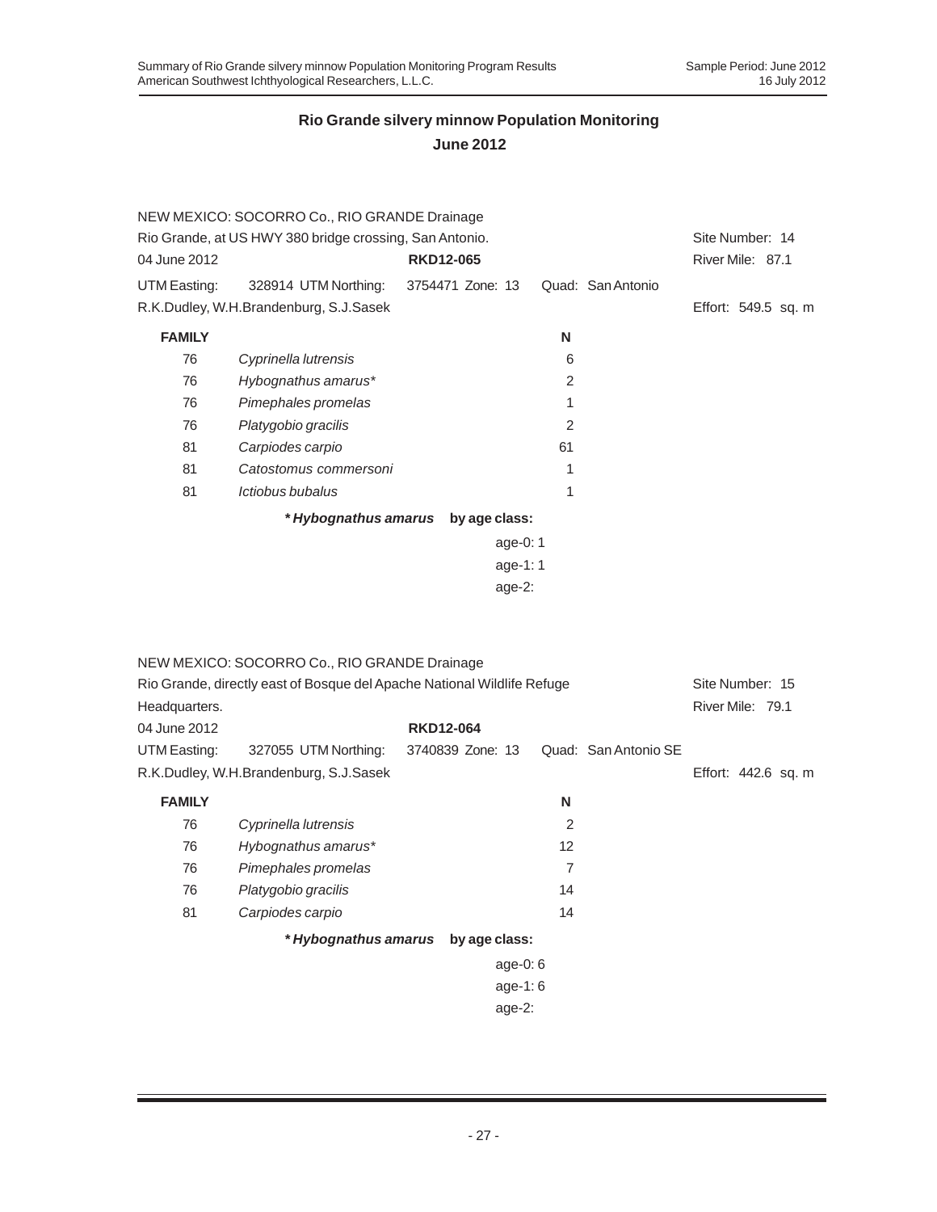|               | NEW MEXICO: SOCORRO Co., RIO GRANDE Drainage                            |                                    |                |                      |                     |
|---------------|-------------------------------------------------------------------------|------------------------------------|----------------|----------------------|---------------------|
|               | Rio Grande, at US HWY 380 bridge crossing, San Antonio.                 |                                    |                |                      | Site Number: 14     |
| 04 June 2012  |                                                                         | <b>RKD12-065</b>                   |                |                      | River Mile: 87.1    |
| UTM Easting:  | 328914 UTM Northing:                                                    | 3754471 Zone: 13                   |                | Quad: San Antonio    |                     |
|               | R.K.Dudley, W.H.Brandenburg, S.J.Sasek                                  |                                    |                |                      | Effort: 549.5 sq. m |
| <b>FAMILY</b> |                                                                         |                                    | Ν              |                      |                     |
| 76            | Cyprinella lutrensis                                                    |                                    | 6              |                      |                     |
| 76            | Hybognathus amarus*                                                     |                                    | 2              |                      |                     |
| 76            | Pimephales promelas                                                     |                                    | 1              |                      |                     |
| 76            | Platygobio gracilis                                                     |                                    | $\overline{2}$ |                      |                     |
| 81            | Carpiodes carpio                                                        |                                    | 61             |                      |                     |
| 81            | Catostomus commersoni                                                   |                                    | 1              |                      |                     |
| 81            | Ictiobus bubalus                                                        |                                    | 1              |                      |                     |
|               |                                                                         | * Hybognathus amarus by age class: |                |                      |                     |
|               |                                                                         |                                    | age-0: 1       |                      |                     |
|               |                                                                         |                                    | age-1:1        |                      |                     |
|               |                                                                         | age-2:                             |                |                      |                     |
|               |                                                                         |                                    |                |                      |                     |
|               |                                                                         |                                    |                |                      |                     |
|               | NEW MEXICO: SOCORRO Co., RIO GRANDE Drainage                            |                                    |                |                      |                     |
|               | Rio Grande, directly east of Bosque del Apache National Wildlife Refuge |                                    |                |                      | Site Number: 15     |
| Headquarters. |                                                                         |                                    |                |                      | River Mile: 79.1    |
| 04 June 2012  |                                                                         | <b>RKD12-064</b>                   |                |                      |                     |
| UTM Easting:  | 327055 UTM Northing:                                                    | 3740839 Zone: 13                   |                | Quad: San Antonio SE |                     |
|               | R.K.Dudley, W.H.Brandenburg, S.J.Sasek                                  |                                    |                |                      | Effort: 442.6 sq. m |
| <b>FAMILY</b> |                                                                         |                                    | N              |                      |                     |
| 76            | Cyprinella lutrensis                                                    |                                    | 2              |                      |                     |
| 76            | Hybognathus amarus*                                                     |                                    | 12             |                      |                     |
| 76            | Pimephales promelas                                                     |                                    | $\overline{7}$ |                      |                     |
| 76            | Platygobio gracilis                                                     |                                    | 14             |                      |                     |
| 81            | Carpiodes carpio                                                        |                                    | 14             |                      |                     |
|               |                                                                         | * Hybognathus amarus by age class: |                |                      |                     |
|               |                                                                         |                                    | age-0:6        |                      |                     |
|               |                                                                         |                                    | age-1:6        |                      |                     |
|               |                                                                         | age-2:                             |                |                      |                     |
|               |                                                                         |                                    |                |                      |                     |
|               |                                                                         |                                    |                |                      |                     |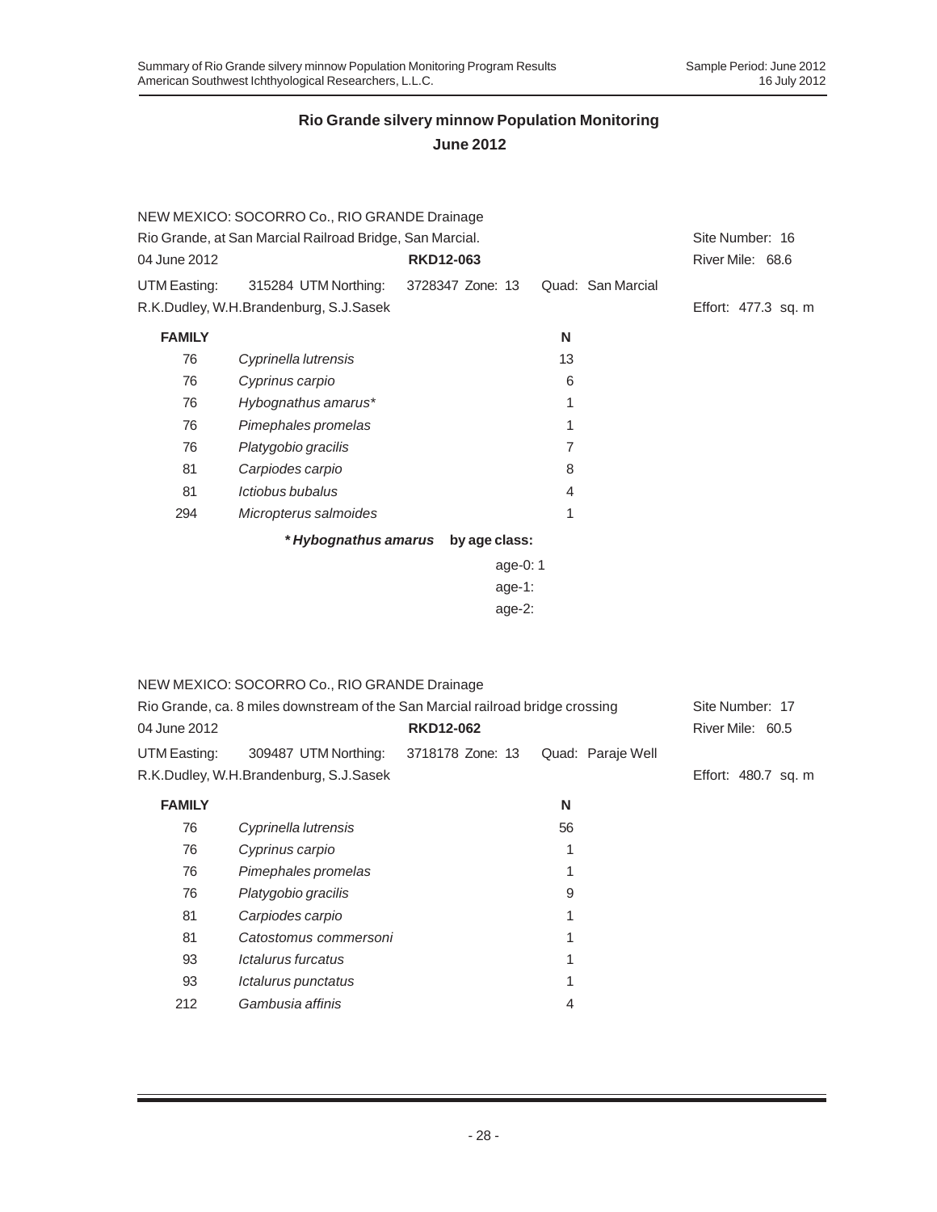|                                                          | NEW MEXICO: SOCORRO Co., RIO GRANDE Drainage |  |                  |            |    |                   |                     |  |
|----------------------------------------------------------|----------------------------------------------|--|------------------|------------|----|-------------------|---------------------|--|
| Rio Grande, at San Marcial Railroad Bridge, San Marcial. |                                              |  |                  |            |    |                   | Site Number: 16     |  |
| 04 June 2012                                             |                                              |  | <b>RKD12-063</b> |            |    |                   | River Mile: 68.6    |  |
| UTM Easting:                                             | 315284 UTM Northing: 3728347 Zone: 13        |  |                  |            |    | Quad: San Marcial |                     |  |
|                                                          | R.K.Dudley, W.H.Brandenburg, S.J.Sasek       |  |                  |            |    |                   | Effort: 477.3 sq. m |  |
| <b>FAMILY</b>                                            |                                              |  |                  |            | N  |                   |                     |  |
| 76                                                       | Cyprinella lutrensis                         |  |                  |            | 13 |                   |                     |  |
| 76                                                       | Cyprinus carpio                              |  |                  |            | 6  |                   |                     |  |
| 76                                                       | Hybognathus amarus*                          |  |                  |            | 1  |                   |                     |  |
| 76                                                       | Pimephales promelas                          |  |                  |            | 1  |                   |                     |  |
| 76                                                       | Platygobio gracilis                          |  |                  |            | 7  |                   |                     |  |
| 81                                                       | Carpiodes carpio                             |  |                  |            | 8  |                   |                     |  |
| 81                                                       | Ictiobus bubalus                             |  |                  |            | 4  |                   |                     |  |
| 294                                                      | Micropterus salmoides                        |  |                  |            | 1  |                   |                     |  |
|                                                          | * Hybognathus amarus                         |  | by age class:    |            |    |                   |                     |  |
|                                                          |                                              |  |                  | age-0: $1$ |    |                   |                     |  |
|                                                          |                                              |  |                  | age-1:     |    |                   |                     |  |
|                                                          |                                              |  |                  | age-2:     |    |                   |                     |  |

|                                                                                | NEW MEXICO: SOCORRO Co., RIO GRANDE Drainage |                  |                   |                     |
|--------------------------------------------------------------------------------|----------------------------------------------|------------------|-------------------|---------------------|
| Rio Grande, ca. 8 miles downstream of the San Marcial railroad bridge crossing | Site Number: 17                              |                  |                   |                     |
| 04 June 2012                                                                   |                                              | <b>RKD12-062</b> |                   | River Mile: 60.5    |
| UTM Easting:                                                                   | 309487 UTM Northing:                         | 3718178 Zone: 13 | Quad: Paraje Well |                     |
|                                                                                | R.K.Dudley, W.H.Brandenburg, S.J.Sasek       |                  |                   | Effort: 480.7 sq. m |
| <b>FAMILY</b>                                                                  |                                              |                  | N                 |                     |
| 76                                                                             | Cyprinella lutrensis                         |                  | 56                |                     |
| 76                                                                             | Cyprinus carpio                              |                  | 1                 |                     |
| 76                                                                             | Pimephales promelas                          |                  |                   |                     |
| 76                                                                             | Platygobio gracilis                          |                  | 9                 |                     |
| 81                                                                             | Carpiodes carpio                             |                  |                   |                     |
| 81                                                                             | Catostomus commersoni                        |                  | 1                 |                     |
| 93                                                                             | <i><b>Ictalurus furcatus</b></i>             |                  |                   |                     |
| 93                                                                             | Ictalurus punctatus                          |                  | 1                 |                     |
| 212                                                                            | Gambusia affinis                             |                  | 4                 |                     |